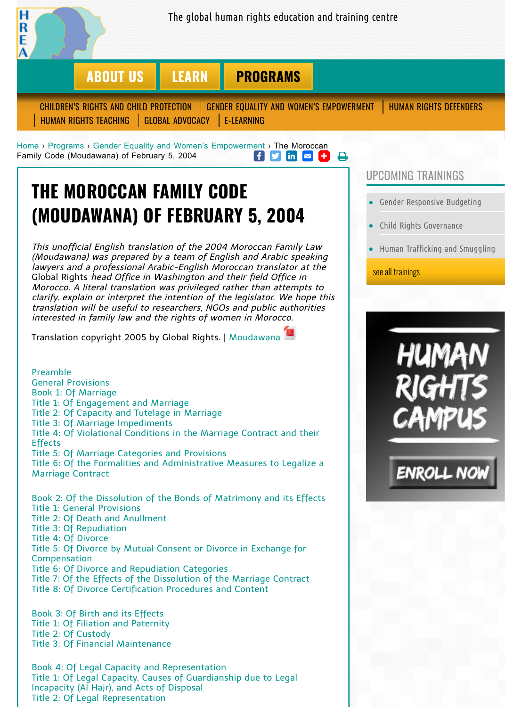# **[THE MORO](http://www.hrea.org/)CCAN FAMILY CODE (MOUDAWANA) OF FEBRUARY 5, 2004**

This unofficial English translation of the 2004 Moroccan Family Law (Moudaw[ana\) was prepared b](http://www.hrea.org/about-us/)[y a team of En](http://www.hrea.org/learn/)[glish and Arabic speak](http://www.hrea.org/programs/)ing lawyers and a professional Arabic-English Moroccan translator at the Global Rights [head Office in Washingt](http://www.hrea.org/programs/childrens-rights-and-child-protection/)on [and their field Office in](http://www.hrea.org/programs/gender-equality-and-womens-empowerment/) [Morocco. A literal trans](http://www.hrea.org/programs/human-rights-teaching/)lat[ion was privilege](http://www.hrea.org/programs/global-advocacy/)d [rather tha](http://www.hrea.org/programs/distance-learning/)n attempts to clarify, explain or interpret the intention of the legislator. We hope this translation will be useful to researchers, NGOs and public authorities [in](http://www.hrea.org/)t[erested in](http://www.hrea.org/programs/) [family law and the rights of women in Mo](http://www.hrea.org/programs/gender-equality-and-womens-empowerment/)rocco.

Translation copyright 2005 by Global Rights. | Mou[daw](http://www.hrea.org/#facebook)[ana](http://www.hrea.org/#twitter)



Preamble General Provisions Book 1: Of Marriage Title 1: Of Engagement and Marriage Title 2: Of Capacity and Tutelage in Marriage Title 3: Of Marriage Impediments Title 4: Of Violational Conditions in the Marriage Contract and their **Effects** Title 5: Of Marriage Categories and Provisions Title 6: Of the Formalities and Administrative Measures to Legalize a Marriage Contract Book 2: Of the Dissolution of the Bonds of Matrimony and [its Effe](http://www.hrea.org/wp-content/uploads/2015/01/pdf-image.png)cts Title 1: General Provisions Title 2: Of Death and Anullment Title 3: Of Repudiation Title 4: Of Divorce

[Title 5: O](#page-1-0)[f Divorce](#page-5-0) by Mutual Consent or Divorce in Exchange for Compensation

[Title 6: Of Divorce an](#page-6-0)d Repudiation Categories

[Title 7: Of the Effects of the Dissoluti](#page-6-1)on of the Marriage Contract [Title 8: Of Divorce Certification Procedures an](#page-8-0)d Content

[Book 3: Of Birth and its Effects](#page-12-0) [Title 1: Of Filiation and Paternity](#page-13-0) Title 2: Of Custody [Title 3: Of Financial Maintenance](#page-15-0)

[Book 4: Of Legal Capacity and Representation](#page-17-0) [Title 1: Of Legal Capacity,](#page-17-1) Causes of Guardianship due to Legal [Incapacity \(Al Hajr\), and Acts of](#page-17-2) Disposal [Title 2: Of Legal Repres](#page-18-0)entation

# UPCOMING

- Gender Re
- Child Right
- Human Tr

see all trainin

H<br>R<br>C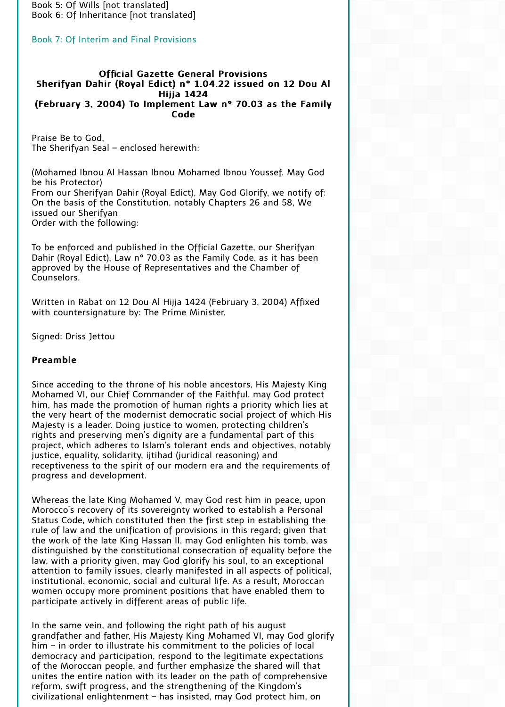(Mohamed Ibnou Al Hassan Ibnou Mohamed Ibnou Youssef, May God be his Protector) From our Sherifyan Dahir (Royal Edict), May God Glorify, we notify of: On the basis of the Constitution, notably Chapters 26 and 58, We [issued our Sherifyan](#page-44-0) Order with the following:

To be enforced and published in the Official Gazette, our Sherifyan Dahir (Royal Edict), Law n° 70.03 as the Family Code, as it has been approved by the House of Representatives and the Chamber of Counselors.

Written in Rabat on 12 Dou Al Hijja 1424 (February 3, 2004) Affixed with countersignature by: The Prime Minister,

Signed: Driss Jettou

#### **Preamble**

Since acceding to the throne of his noble ancestors, His Majesty King Mohamed VI, our Chief Commander of the Faithful, may God protect him, has made the promotion of human rights a priority which lies at the very heart of the modernist democratic social project of which His Majesty is a leader. Doing justice to women, protecting children's rights and preserving men's dignity are a fundamental part of this project, which adheres to Islam's tolerant ends and objectives, notably justice, equality, solidarity, ijtihad (juridical reasoning) and receptiveness to the spirit of our modern era and the requirements of progress and development.

<span id="page-1-0"></span>Whereas the late King Mohamed V, may God rest him in peace, upon Morocco's recovery of its sovereignty worked to establish a Personal Status Code, which constituted then the first step in establishing the rule of law and the unification of provisions in this regard; given that the work of the late King Hassan II, may God enlighten his tomb, was distinguished by the constitutional consecration of equality before the law, with a priority given, may God glorify his soul, to an exceptional attention to family issues, clearly manifested in all aspects of political, institutional, economic, social and cultural life. As a result, Moroccan women occupy more prominent positions that have enabled them to participate actively in different areas of public life.

In the same vein, and following the right path of his august grandfather and father, His Majesty King Mohamed VI, may God glorify him – in order to illustrate his commitment to the policies of local democracy and participation, respond to the legitimate expectations of the Moroccan people, and further emphasize the shared will that unites the entire nation with its leader on the path of comprehensive reform, swift progress, and the strengthening of the Kingdom's civilizational enlightenment – has insisted, may God protect him, on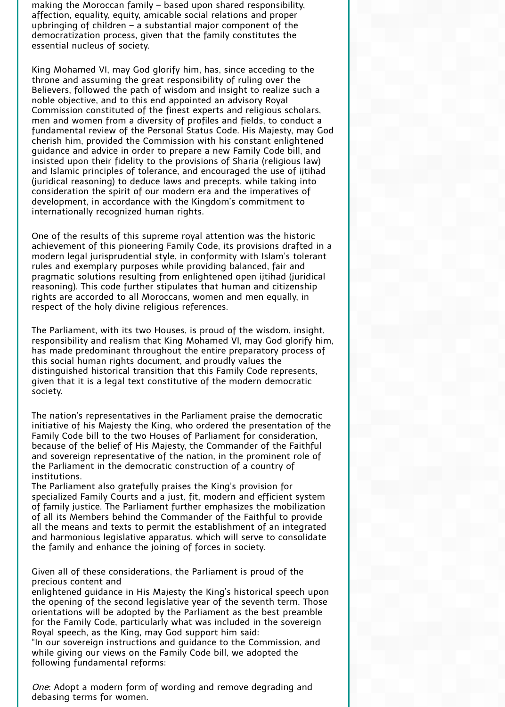making the Moroccan family – based upon shared responsibility, affection, equality, equity, amicable social relations and proper upbringing of children – a substantial major component of the democratization process, given that the family constitutes the essential nucleus of society.

King Mohamed VI, may God glorify him, has, since acceding to the throne and assuming the great responsibility of ruling over the Believers, followed the path of wisdom and insight to realize such a noble objective, and to this end appointed an advisory Royal Commission constituted of the finest experts and religious scholars, men and women from a diversity of profiles and fields, to conduct a fundamental review of the Personal Status Code. His Majesty, may God cherish him, provided the Commission with his constant enlightened guidance and advice in order to prepare a new Family Code bill, and insisted upon their fidelity to the provisions of Sharia (religious law) and Islamic principles of tolerance, and encouraged the use of ijtihad (juridical reasoning) to deduce laws and precepts, while taking into consideration the spirit of our modern era and the imperatives of development, in accordance with the Kingdom's commitment to internationally recognized human rights.

One of the results of this supreme royal attention was the historic achievement of this pioneering Family Code, its provisions drafted in a modern legal jurisprudential style, in conformity with Islam's tolerant rules and exemplary purposes while providing balanced, fair and pragmatic solutions resulting from enlightened open ijtihad (juridical reasoning). This code further stipulates that human and citizenship rights are accorded to all Moroccans, women and men equally, in respect of the holy divine religious references.

The Parliament, with its two Houses, is proud of the wisdom, insight, responsibility and realism that King Mohamed VI, may God glorify him, has made predominant throughout the entire preparatory process of this social human rights document, and proudly values the distinguished historical transition that this Family Code represents, given that it is a legal text constitutive of the modern democratic society.

The nation's representatives in the Parliament praise the democratic initiative of his Majesty the King, who ordered the presentation of the Family Code bill to the two Houses of Parliament for consideration, because of the belief of His Majesty, the Commander of the Faithful and sovereign representative of the nation, in the prominent role of the Parliament in the democratic construction of a country of institutions.

The Parliament also gratefully praises the King's provision for specialized Family Courts and a just, fit, modern and efficient system of family justice. The Parliament further emphasizes the mobilization of all its Members behind the Commander of the Faithful to provide all the means and texts to permit the establishment of an integrated and harmonious legislative apparatus, which will serve to consolidate the family and enhance the joining of forces in society.

Given all of these considerations, the Parliament is proud of the precious content and

enlightened guidance in His Majesty the King's historical speech upon the opening of the second legislative year of the seventh term. Those orientations will be adopted by the Parliament as the best preamble for the Family Code, particularly what was included in the sovereign Royal speech, as the King, may God support him said:

"In our sovereign instructions and guidance to the Commission, and while giving our views on the Family Code bill, we adopted the following fundamental reforms:

One: Adopt a modern form of wording and remove degrading and debasing terms for women.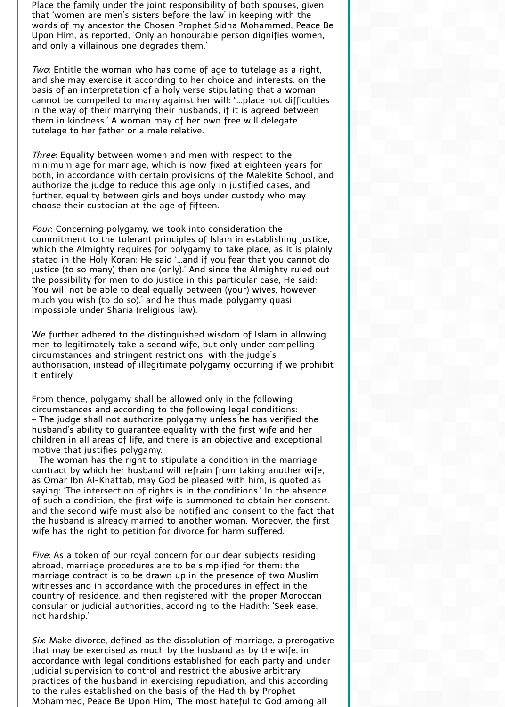Place the family under the joint responsibility of both spouses, given that 'women are men's sisters before the law' in keeping with the words of my ancestor the Chosen Prophet Sidna Mohammed, Peace Be Upon Him, as reported, 'Only an honourable person dignifies women, and only a villainous one degrades them.'

Two: Entitle the woman who has come of age to tutelage as a right, and she may exercise it according to her choice and interests, on the basis of an interpretation of a holy verse stipulating that a woman cannot be compelled to marry against her will: "…place not difficulties in the way of their marrying their husbands, if it is agreed between them in kindness.' A woman may of her own free will delegate tutelage to her father or a male relative.

Three: Equality between women and men with respect to the minimum age for marriage, which is now fixed at eighteen years for both, in accordance with certain provisions of the Malekite School, and authorize the judge to reduce this age only in justified cases, and further, equality between girls and boys under custody who may choose their custodian at the age of fifteen.

Four: Concerning polygamy, we took into consideration the commitment to the tolerant principles of Islam in establishing justice, which the Almighty requires for polygamy to take place, as it is plainly stated in the Holy Koran: He said '…and if you fear that you cannot do justice (to so many) then one (only).' And since the Almighty ruled out the possibility for men to do justice in this particular case, He said: 'You will not be able to deal equally between (your) wives, however much you wish (to do so),' and he thus made polygamy quasi impossible under Sharia (religious law).

We further adhered to the distinguished wisdom of Islam in allowing men to legitimately take a second wife, but only under compelling circumstances and stringent restrictions, with the judge's authorisation, instead of illegitimate polygamy occurring if we prohibit it entirely.

From thence, polygamy shall be allowed only in the following circumstances and according to the following legal conditions: – The judge shall not authorize polygamy unless he has verified the husband's ability to guarantee equality with the first wife and her children in all areas of life, and there is an objective and exceptional motive that justifies polygamy.

– The woman has the right to stipulate a condition in the marriage contract by which her husband will refrain from taking another wife, as Omar Ibn Al-Khattab, may God be pleased with him, is quoted as saying: 'The intersection of rights is in the conditions.' In the absence of such a condition, the first wife is summoned to obtain her consent, and the second wife must also be notified and consent to the fact that the husband is already married to another woman. Moreover, the first wife has the right to petition for divorce for harm suffered.

Five: As a token of our royal concern for our dear subjects residing abroad, marriage procedures are to be simplified for them: the marriage contract is to be drawn up in the presence of two Muslim witnesses and in accordance with the procedures in effect in the country of residence, and then registered with the proper Moroccan consular or judicial authorities, according to the Hadith: 'Seek ease, not hardship.'

Six: Make divorce, defined as the dissolution of marriage, a prerogative that may be exercised as much by the husband as by the wife, in accordance with legal conditions established for each party and under judicial supervision to control and restrict the abusive arbitrary practices of the husband in exercising repudiation, and this according to the rules established on the basis of the Hadith by Prophet Mohammed, Peace Be Upon Him, 'The most hateful to God among all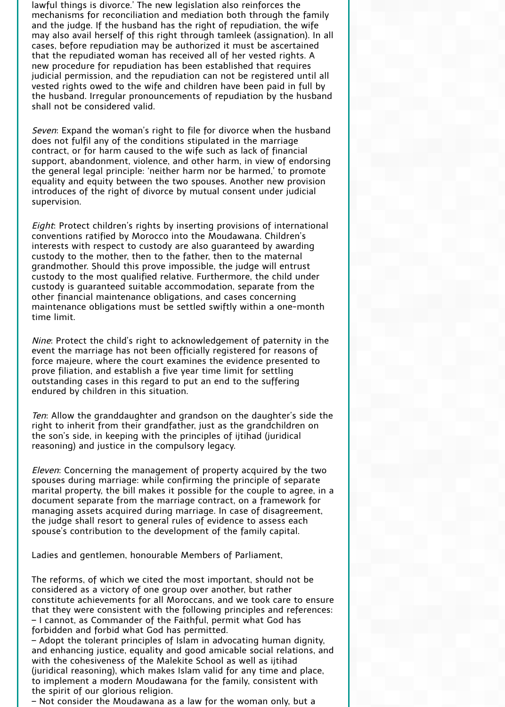lawful things is divorce.' The new legislation also reinforces the mechanisms for reconciliation and mediation both through the family and the judge. If the husband has the right of repudiation, the wife may also avail herself of this right through tamleek (assignation). In all cases, before repudiation may be authorized it must be ascertained that the repudiated woman has received all of her vested rights. A new procedure for repudiation has been established that requires judicial permission, and the repudiation can not be registered until all vested rights owed to the wife and children have been paid in full by the husband. Irregular pronouncements of repudiation by the husband shall not be considered valid.

Seven: Expand the woman's right to file for divorce when the husband does not fulfil any of the conditions stipulated in the marriage contract, or for harm caused to the wife such as lack of financial support, abandonment, violence, and other harm, in view of endorsing the general legal principle: 'neither harm nor be harmed,' to promote equality and equity between the two spouses. Another new provision introduces of the right of divorce by mutual consent under judicial supervision.

Eight: Protect children's rights by inserting provisions of international conventions ratified by Morocco into the Moudawana. Children's interests with respect to custody are also guaranteed by awarding custody to the mother, then to the father, then to the maternal grandmother. Should this prove impossible, the judge will entrust custody to the most qualified relative. Furthermore, the child under custody is guaranteed suitable accommodation, separate from the other financial maintenance obligations, and cases concerning maintenance obligations must be settled swiftly within a one-month time limit.

Nine: Protect the child's right to acknowledgement of paternity in the event the marriage has not been officially registered for reasons of force majeure, where the court examines the evidence presented to prove filiation, and establish a five year time limit for settling outstanding cases in this regard to put an end to the suffering endured by children in this situation.

Ten: Allow the granddaughter and grandson on the daughter's side the right to inherit from their grandfather, just as the grandchildren on the son's side, in keeping with the principles of ijtihad (juridical reasoning) and justice in the compulsory legacy.

Eleven: Concerning the management of property acquired by the two spouses during marriage: while confirming the principle of separate marital property, the bill makes it possible for the couple to agree, in a document separate from the marriage contract, on a framework for managing assets acquired during marriage. In case of disagreement, the judge shall resort to general rules of evidence to assess each spouse's contribution to the development of the family capital.

Ladies and gentlemen, honourable Members of Parliament,

The reforms, of which we cited the most important, should not be considered as a victory of one group over another, but rather constitute achievements for all Moroccans, and we took care to ensure that they were consistent with the following principles and references: – I cannot, as Commander of the Faithful, permit what God has forbidden and forbid what God has permitted.

– Adopt the tolerant principles of Islam in advocating human dignity, and enhancing justice, equality and good amicable social relations, and with the cohesiveness of the Malekite School as well as ijtihad (juridical reasoning), which makes Islam valid for any time and place, to implement a modern Moudawana for the family, consistent with the spirit of our glorious religion.

– Not consider the Moudawana as a law for the woman only, but a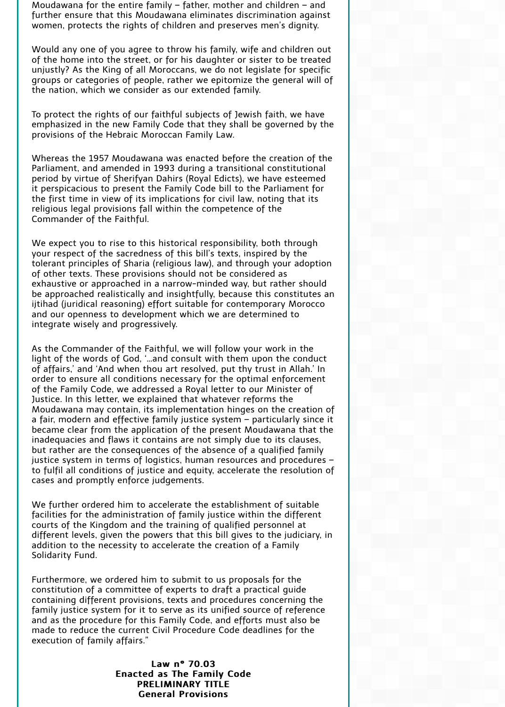Moudawana for the entire family – father, mother and children – and further ensure that this Moudawana eliminates discrimination against women, protects the rights of children and preserves men's dignity.

Would any one of you agree to throw his family, wife and children out of the home into the street, or for his daughter or sister to be treated unjustly? As the King of all Moroccans, we do not legislate for specific groups or categories of people, rather we epitomize the general will of the nation, which we consider as our extended family.

To protect the rights of our faithful subjects of Jewish faith, we have emphasized in the new Family Code that they shall be governed by the provisions of the Hebraic Moroccan Family Law.

Whereas the 1957 Moudawana was enacted before the creation of the Parliament, and amended in 1993 during a transitional constitutional period by virtue of Sherifyan Dahirs (Royal Edicts), we have esteemed it perspicacious to present the Family Code bill to the Parliament for the first time in view of its implications for civil law, noting that its religious legal provisions fall within the competence of the Commander of the Faithful.

We expect you to rise to this historical responsibility, both through your respect of the sacredness of this bill's texts, inspired by the tolerant principles of Sharia (religious law), and through your adoption of other texts. These provisions should not be considered as exhaustive or approached in a narrow-minded way, but rather should be approached realistically and insightfully, because this constitutes an ijtihad (juridical reasoning) effort suitable for contemporary Morocco and our openness to development which we are determined to integrate wisely and progressively.

As the Commander of the Faithful, we will follow your work in the light of the words of God, '…and consult with them upon the conduct of affairs,' and 'And when thou art resolved, put thy trust in Allah.' In order to ensure all conditions necessary for the optimal enforcement of the Family Code, we addressed a Royal letter to our Minister of Justice. In this letter, we explained that whatever reforms the Moudawana may contain, its implementation hinges on the creation of a fair, modern and effective family justice system – particularly since it became clear from the application of the present Moudawana that the inadequacies and flaws it contains are not simply due to its clauses, but rather are the consequences of the absence of a qualified family justice system in terms of logistics, human resources and procedures – to fulfil all conditions of justice and equity, accelerate the resolution of cases and promptly enforce judgements.

We further ordered him to accelerate the establishment of suitable facilities for the administration of family justice within the different courts of the Kingdom and the training of qualified personnel at different levels, given the powers that this bill gives to the judiciary, in addition to the necessity to accelerate the creation of a Family Solidarity Fund.

Furthermore, we ordered him to submit to us proposals for the constitution of a committee of experts to draft a practical guide containing different provisions, texts and procedures concerning the family justice system for it to serve as its unified source of reference and as the procedure for this Family Code, and efforts must also be made to reduce the current Civil Procedure Code deadlines for the execution of family affairs."

> <span id="page-5-0"></span>Law n° 70.03 Enacted as The Family Code Enacted as The Family Code PRELIMINARY TITLE **General Provisions**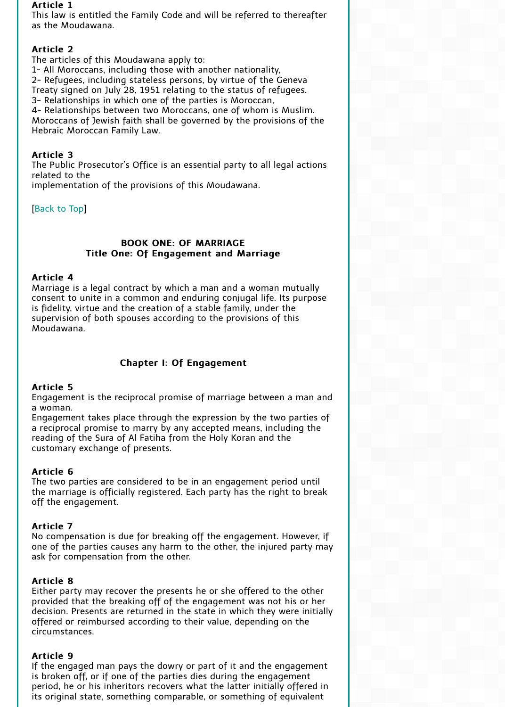related to the implementation of the provisions of this Moudawana.

# [Back to Top]

### BOOK ONE: OF MARRIAGE Title One: Of Engagement and Marriage

### Article 4

Marriage is a legal contract by which a man and a woman mutually consent to unite in a common and enduring conjugal life. Its purpose is fidelity, virtue and the creation of a stable family, under the supervision of both spouses according to the provisions of this Moudawana.

# <span id="page-6-1"></span><span id="page-6-0"></span>Chapter I: Of Engagement

### [Article 5](http://www.hrea.org/programs/gender-equality-and-womens-empowerment/moudawana/#top)

Engagement is the reciprocal promise of marriage between a man and a woman.

Engagement takes place through the expression by the two parties of a reciprocal promise to marry by any accepted means, including the reading of the Sura of Al Fatiha from the Holy Koran and the customary exchange of presents.

### Article 6

The two parties are considered to be in an engagement period until the marriage is officially registered. Each party has the right to break off the engagement.

# Article 7

No compensation is due for breaking off the engagement. However, if one of the parties causes any harm to the other, the injured party may ask for compensation from the other.

### Article 8

Either party may recover the presents he or she offered to the other provided that the breaking off of the engagement was not his or her decision. Presents are returned in the state in which they were initially offered or reimbursed according to their value, depending on the circumstances.

### Article 9

If the engaged man pays the dowry or part of it and the engagement is broken off, or if one of the parties dies during the engagement period, he or his inheritors recovers what the latter initially offered in its original state, something comparable, or something of equivalent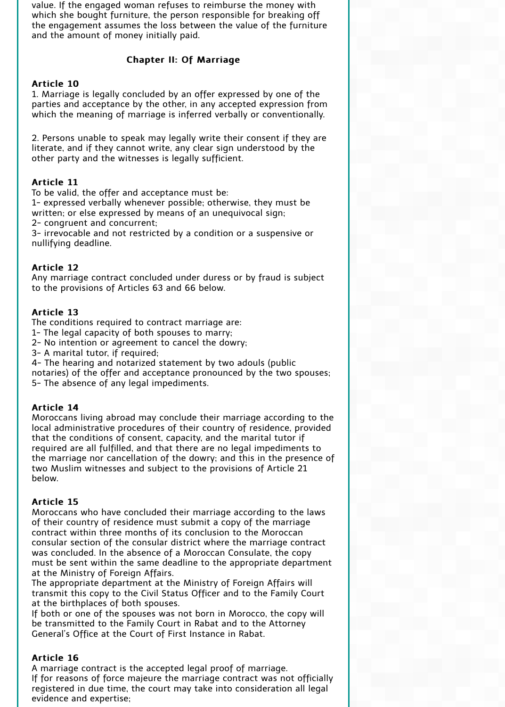value. If the engaged woman refuses to reimburse the money with which she bought furniture, the person responsible for breaking off the engagement assumes the loss between the value of the furniture and the amount of money initially paid.

# Chapter II: Of Marriage

#### Article 10

1. Marriage is legally concluded by an offer expressed by one of the parties and acceptance by the other, in any accepted expression from which the meaning of marriage is inferred verbally or conventionally.

2. Persons unable to speak may legally write their consent if they are literate, and if they cannot write, any clear sign understood by the other party and the witnesses is legally sufficient.

#### Article 11

To be valid, the offer and acceptance must be:

1- expressed verbally whenever possible; otherwise, they must be written; or else expressed by means of an unequivocal sign;

2- congruent and concurrent;

3- irrevocable and not restricted by a condition or a suspensive or nullifying deadline.

#### Article 12

Any marriage contract concluded under duress or by fraud is subject to the provisions of Articles 63 and 66 below.

#### Article 13

The conditions required to contract marriage are:

1- The legal capacity of both spouses to marry;

2- No intention or agreement to cancel the dowry;

3- A marital tutor, if required;

4- The hearing and notarized statement by two adouls (public

notaries) of the offer and acceptance pronounced by the two spouses; 5- The absence of any legal impediments.

#### Article 14

Moroccans living abroad may conclude their marriage according to the local administrative procedures of their country of residence, provided that the conditions of consent, capacity, and the marital tutor if required are all fulfilled, and that there are no legal impediments to the marriage nor cancellation of the dowry; and this in the presence of two Muslim witnesses and subject to the provisions of Article 21 below.

### Article 15

Moroccans who have concluded their marriage according to the laws of their country of residence must submit a copy of the marriage contract within three months of its conclusion to the Moroccan consular section of the consular district where the marriage contract was concluded. In the absence of a Moroccan Consulate, the copy must be sent within the same deadline to the appropriate department at the Ministry of Foreign Affairs.

The appropriate department at the Ministry of Foreign Affairs will transmit this copy to the Civil Status Officer and to the Family Court at the birthplaces of both spouses.

If both or one of the spouses was not born in Morocco, the copy will be transmitted to the Family Court in Rabat and to the Attorney General's Office at the Court of First Instance in Rabat.

### Article 16

A marriage contract is the accepted legal proof of marriage. If for reasons of force majeure the marriage contract was not officially registered in due time, the court may take into consideration all legal evidence and expertise;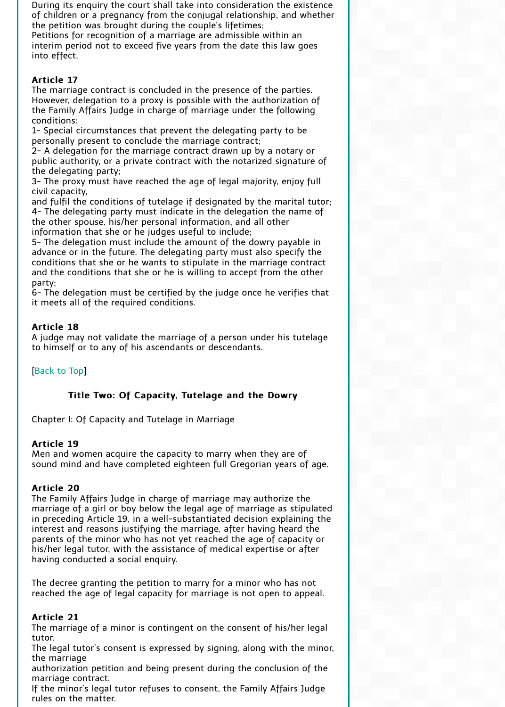the delegating party;

3- The proxy must have reached the age of legal majority, enjoy full civil capacity,

and fulfil the conditions of tutelage if designated by the marital tutor; 4- The delegating party must indicate in the delegation the name of the other spouse, his/her personal information, and all other information that she or he judges useful to include;

5- The delegation must include the amount of the dowry payable in advance or in the future. The delegating party must also specify the conditions that she or he wants to stipulate in the marriage contract and the conditions that she or he is willing to accept from the other party;

6- The delegation must be certified by the judge once he verifies that it meets all of the required conditions.

# Article 18

A judge may not validate the marriage of a person under his tutelage to himself or to any of his ascendants or descendants.

# [Back to Top]

# Title Two: Of Capacity, Tutelage and the Dowry

Chapter I: Of Capacity and Tutelage in Marriage

### Article 19

Men and women acquire the capacity to marry when they are of sound mind and have completed eighteen full Gregorian years of age.

### Article 20

The Family Affairs Judge in charge of marriage may authorize the marriage of a girl or boy below the legal age of marriage as stipulated in preceding Article 19, in a well-substantiated decision explaining the interest and reasons justifying the marriage, after having heard the [parents of th](http://www.hrea.org/programs/gender-equality-and-womens-empowerment/moudawana/#top)e minor who has not yet reached the age of capacity or his/her legal tutor, with the assistance of medical expertise or after having conducted a social enquiry.

<span id="page-8-0"></span>The decree granting the petition to marry for a minor who has not reached the age of legal capacity for marriage is not open to appeal.

# Article 21

The marriage of a minor is contingent on the consent of his/her legal tutor.

The legal tutor's consent is expressed by signing, along with the minor, the marriage

authorization petition and being present during the conclusion of the marriage contract.

If the minor's legal tutor refuses to consent, the Family Affairs Judge rules on the matter.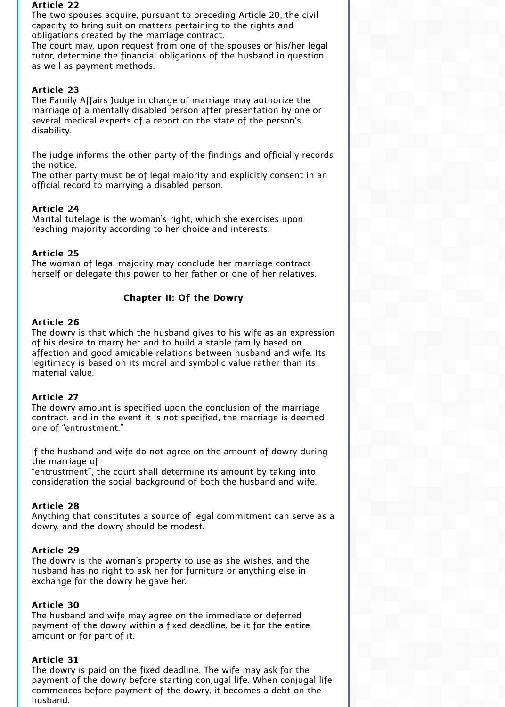The two spouses acquire, pursuant to preceding Article 20, the civil capacity to bring suit on matters pertaining to the rights and obligations created by the marriage contract.

The court may, upon request from one of the spouses or his/her legal tutor, determine the financial obligations of the husband in question as well as payment methods.

# Article 23

The Family Affairs Judge in charge of marriage may authorize the marriage of a mentally disabled person after presentation by one or several medical experts of a report on the state of the person's disability.

The judge informs the other party of the findings and officially records the notice.

The other party must be of legal majority and explicitly consent in an official record to marrying a disabled person.

# Article 24

Marital tutelage is the woman's right, which she exercises upon reaching majority according to her choice and interests.

# Article 25

The woman of legal majority may conclude her marriage contract herself or delegate this power to her father or one of her relatives.

# Chapter II: Of the Dowry

# Article 26 Article 26

The dowry is that which the husband gives to his wife as an expression of his desire to marry her and to build a stable family based on affection and good amicable relations between husband and wife. Its legitimacy is based on its moral and symbolic value rather than its material value.

# Article 27

The dowry amount is specified upon the conclusion of the marriage contract, and in the event it is not specified, the marriage is deemed one of "entrustment."

If the husband and wife do not agree on the amount of dowry during the marriage of

"entrustment", the court shall determine its amount by taking into consideration the social background of both the husband and wife.

# Article 28

Anything that constitutes a source of legal commitment can serve as a dowry, and the dowry should be modest.

# Article 29

The dowry is the woman's property to use as she wishes, and the husband has no right to ask her for furniture or anything else in exchange for the dowry he gave her.

# Article 30

The husband and wife may agree on the immediate or deferred payment of the dowry within a fixed deadline, be it for the entire amount or for part of it.

### Article 31

The dowry is paid on the fixed deadline. The wife may ask for the payment of the dowry before starting conjugal life. When conjugal life commences before payment of the dowry, it becomes a debt on the husband.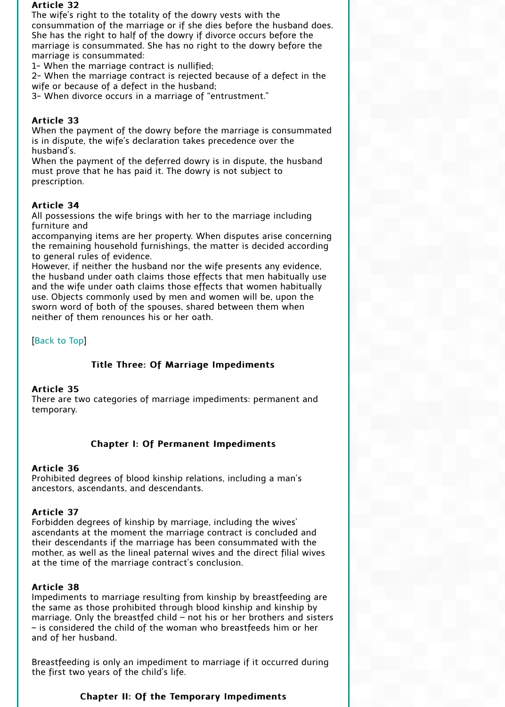must prove that he has paid it. The dowry is not subject to prescription.

# Article 34

All possessions the wife brings with her to the marriage including furniture and

accompanying items are her property. When disputes arise concerning the remaining household furnishings, the matter is decided according to general rules of evidence.

However, if neither the husband nor the wife presents any evidence, the husband under oath claims those effects that men habitually use and the wife under oath claims those effects that women habitually use. Objects commonly used by men and women will be, upon the sworn word of both of the spouses, shared between them when neither of them renounces his or her oath.

# [Back to Top]

# Title Three: Of Marriage Impediments

### Article 35

There are two categories of marriage impediments: permanent and temporary.

# Chapter I: Of Permanent Impediments

### Article 36

Prohibited degrees of blood kinship relations, including a man's ancestors, ascendants, and descendants.

# [Article 37](http://www.hrea.org/programs/gender-equality-and-womens-empowerment/moudawana/#top)

<span id="page-10-0"></span>Forbidden degrees of kinship by marriage, including the wives' ascendants at the moment the marriage contract is concluded and their descendants if the marriage has been consummated with the mother, as well as the lineal paternal wives and the direct filial wives at the time of the marriage contract's conclusion.

### Article 38

Impediments to marriage resulting from kinship by breastfeeding are the same as those prohibited through blood kinship and kinship by marriage. Only the breastfed child – not his or her brothers and sisters – is considered the child of the woman who breastfeeds him or her and of her husband.

Breastfeeding is only an impediment to marriage if it occurred during the first two years of the child's life.

# Chapter II: Of the Temporary Impediments Chapter II: Of the Temporary Impediments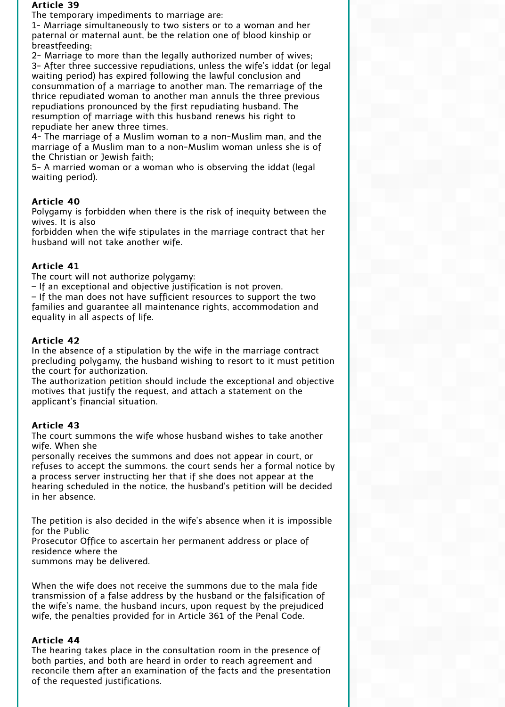The temporary impediments to marriage are:

1- Marriage simultaneously to two sisters or to a woman and her paternal or maternal aunt, be the relation one of blood kinship or breastfeeding;

2- Marriage to more than the legally authorized number of wives; 3- After three successive repudiations, unless the wife's iddat (or legal waiting period) has expired following the lawful conclusion and consummation of a marriage to another man. The remarriage of the thrice repudiated woman to another man annuls the three previous repudiations pronounced by the first repudiating husband. The resumption of marriage with this husband renews his right to repudiate her anew three times.

4- The marriage of a Muslim woman to a non-Muslim man, and the marriage of a Muslim man to a non-Muslim woman unless she is of the Christian or Jewish faith;

5- A married woman or a woman who is observing the iddat (legal waiting period).

# Article 40

Polygamy is forbidden when there is the risk of inequity between the wives. It is also

forbidden when the wife stipulates in the marriage contract that her husband will not take another wife.

# Article 41

The court will not authorize polygamy:

– If an exceptional and objective justification is not proven.

– If the man does not have sufficient resources to support the two families and guarantee all maintenance rights, accommodation and equality in all aspects of life.

# Article 42

In the absence of a stipulation by the wife in the marriage contract precluding polygamy, the husband wishing to resort to it must petition the court for authorization.

The authorization petition should include the exceptional and objective motives that justify the request, and attach a statement on the applicant's financial situation.

# Article 43

The court summons the wife whose husband wishes to take another wife. When she

personally receives the summons and does not appear in court, or refuses to accept the summons, the court sends her a formal notice by a process server instructing her that if she does not appear at the hearing scheduled in the notice, the husband's petition will be decided in her absence.

The petition is also decided in the wife's absence when it is impossible for the Public

Prosecutor Office to ascertain her permanent address or place of residence where the

summons may be delivered.

When the wife does not receive the summons due to the mala fide transmission of a false address by the husband or the falsification of the wife's name, the husband incurs, upon request by the prejudiced wife, the penalties provided for in Article 361 of the Penal Code.

### Article 44

The hearing takes place in the consultation room in the presence of both parties, and both are heard in order to reach agreement and reconcile them after an examination of the facts and the presentation of the requested justifications.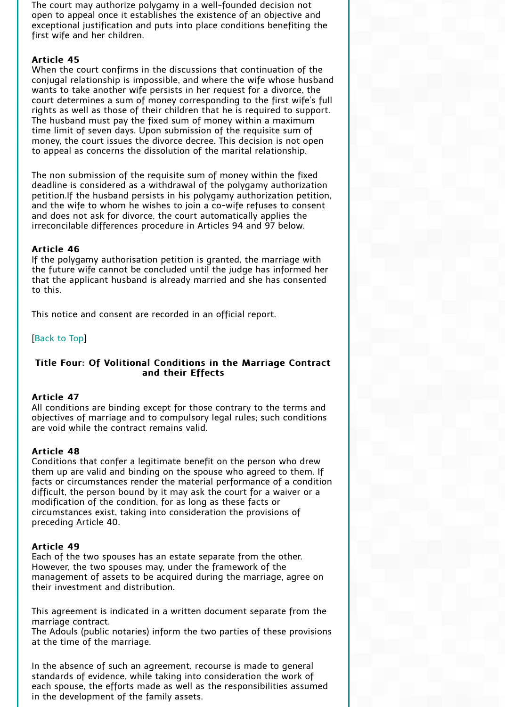The non submission of the requisite sum of money within the fixed deadline is considered as a withdrawal of the polygamy authorization petition.If the husband persists in his polygamy authorization petition, and the wife to whom he wishes to join a co-wife refuses to consent and does not ask for divorce, the court automatically applies the irreconcilable differences procedure in Articles 94 and 97 below.

### Article 46

If the polygamy authorisation petition is granted, the marriage with the future wife cannot be concluded until the judge has informed her that the applicant husband is already married and she has consented to this.

This notice and consent are recorded in an official report.

# [Back to Top]

#### Title Four: Of Volitional Conditions in the Marriage Contract and their Effects and their Effects

### Article 47

All conditions are binding except for those contrary to the terms and objectives of marriage and to compulsory legal rules; such conditions are void while the contract remains valid.

#### **Article 48**

Conditions that confer a legitimate benefit on the person who drew them up are valid and binding on the spouse who agreed to them. If facts or circumstances render the material performance of a condition difficult, the person bound by it may ask the court for a waiver or a modification of the condition, for as long as these facts or [circumstance](http://www.hrea.org/programs/gender-equality-and-womens-empowerment/moudawana/#top)s exist, taking into consideration the provisions of preceding Article 40.

### <span id="page-12-0"></span>Article 49

Each of the two spouses has an estate separate from the other. However, the two spouses may, under the framework of the management of assets to be acquired during the marriage, agree on their investment and distribution.

This agreement is indicated in a written document separate from the marriage contract.

The Adouls (public notaries) inform the two parties of these provisions at the time of the marriage.

In the absence of such an agreement, recourse is made to general standards of evidence, while taking into consideration the work of each spouse, the efforts made as well as the responsibilities assumed in the development of the family assets.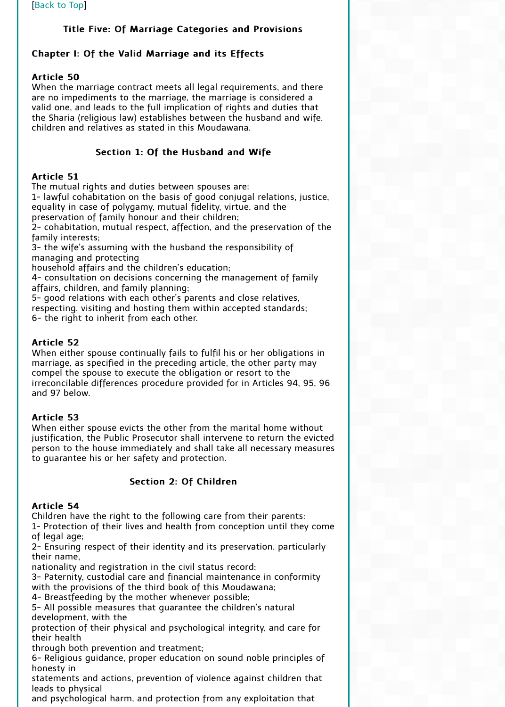The mutual rights and duties between spouses are:

<span id="page-13-0"></span>1- lawful cohabitation on the basis of good conjugal relations, justice, equality in case of polygamy, mutual fidelity, virtue, and the

preservation of family honour and their children;

2- cohabitation, mutual respect, affection, and the preservation of the family interests;

3- the wife's assuming with the husband the responsibility of managing and protecting

household affairs and the children's education;

4- consultation on decisions concerning the management of family affairs, children, and family planning;

5- good relations with each other's parents and close relatives,

respecting, visiting and hosting them within accepted standards;

6- the right to inherit from each other.

# Article 52

When either spouse continually fails to fulfil his or her obligations in marriage, as specified in the preceding article, the other party may compel the spouse to execute the obligation or resort to the irreconcilable differences procedure provided for in Articles 94, 95, 96 and 97 below.

# Article 53

When either spouse evicts the other from the marital home without justification, the Public Prosecutor shall intervene to return the evicted person to the house immediately and shall take all necessary measures to guarantee his or her safety and protection.

# Section 2: Of Children

# Article 54

Children have the right to the following care from their parents:

1- Protection of their lives and health from conception until they come of legal age;

2- Ensuring respect of their identity and its preservation, particularly their name,

nationality and registration in the civil status record;

3- Paternity, custodial care and financial maintenance in conformity with the provisions of the third book of this Moudawana;

4- Breastfeeding by the mother whenever possible;

5- All possible measures that guarantee the children's natural development, with the

protection of their physical and psychological integrity, and care for their health

through both prevention and treatment;

6- Religious guidance, proper education on sound noble principles of honesty in

statements and actions, prevention of violence against children that leads to physical

and psychological harm, and protection from any exploitation that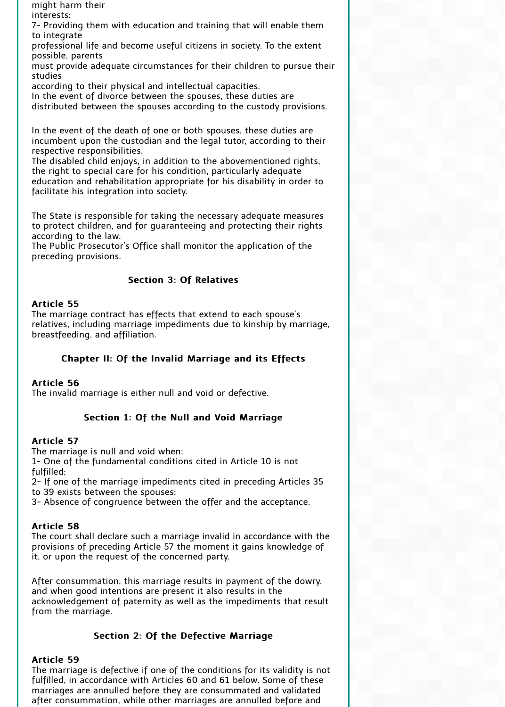might harm their interests;

7- Providing them with education and training that will enable them to integrate

professional life and become useful citizens in society. To the extent possible, parents

must provide adequate circumstances for their children to pursue their studies

according to their physical and intellectual capacities.

In the event of divorce between the spouses, these duties are distributed between the spouses according to the custody provisions.

In the event of the death of one or both spouses, these duties are incumbent upon the custodian and the legal tutor, according to their respective responsibilities.

The disabled child enjoys, in addition to the abovementioned rights, the right to special care for his condition, particularly adequate education and rehabilitation appropriate for his disability in order to facilitate his integration into society.

The State is responsible for taking the necessary adequate measures to protect children, and for guaranteeing and protecting their rights according to the law.

The Public Prosecutor's Office shall monitor the application of the preceding provisions.

# Section 3: Of Relatives

### Article 55 Article 55

The marriage contract has effects that extend to each spouse's relatives, including marriage impediments due to kinship by marriage, breastfeeding, and affiliation.

### Chapter II: Of the Invalid Marriage and its Effects

### Article 56

The invalid marriage is either null and void or defective.

### Section 1: Of the Null and Void Marriage

#### Article 57

The marriage is null and void when:

1- One of the fundamental conditions cited in Article 10 is not fulfilled;

2- If one of the marriage impediments cited in preceding Articles 35 to 39 exists between the spouses;

3- Absence of congruence between the offer and the acceptance.

### Article 58

The court shall declare such a marriage invalid in accordance with the provisions of preceding Article 57 the moment it gains knowledge of it, or upon the request of the concerned party.

After consummation, this marriage results in payment of the dowry, and when good intentions are present it also results in the acknowledgement of paternity as well as the impediments that result from the marriage.

# Section 2: Of the Defective Marriage

### Article 59

The marriage is defective if one of the conditions for its validity is not fulfilled, in accordance with Articles 60 and 61 below. Some of these marriages are annulled before they are consummated and validated after consummation, while other marriages are annulled before and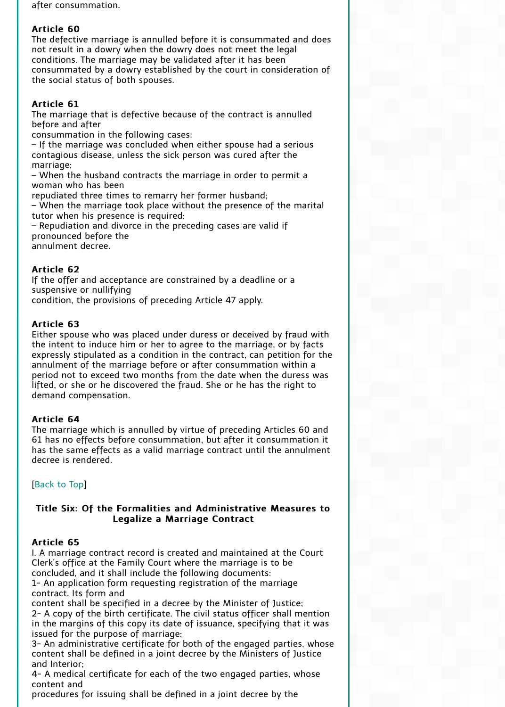– When the husband contracts the marriage in order to permit a woman who has been

repudiated three times to remarry her former husband;

– When the marriage took place without the presence of the marital tutor when his presence is required;

– Repudiation and divorce in the preceding cases are valid if pronounced before the

annulment decree.

# Article 62

If the offer and acceptance are constrained by a deadline or a suspensive or nullifying condition, the provisions of preceding Article 47 apply.

# Article 63

Either spouse who was placed under duress or deceived by fraud with the intent to induce him or her to agree to the marriage, or by facts expressly stipulated as a condition in the contract, can petition for the annulment of the marriage before or after consummation within a period not to exceed two months from the date when the duress was lifted, or she or he discovered the fraud. She or he has the right to demand compensation.

# Article 64

The marriage which is annulled by virtue of preceding Articles 60 and 61 has no effects before consummation, but after it consummation it has the same effects as a valid marriage contract until the annulment decree is rendered.

# [Back to Top]

### Title Six: Of the Formalities and Administrative Measures to Legalize a Marriage Contract

# Article 65

I. A marriage contract record is created and maintained at the Court Clerk's office at the Family Court where the marriage is to be concluded, and it shall include the following documents:

1- An application form requesting registration of the marriage contract. Its form and

content shall be specified in a decree by the Minister of Justice;

2- A copy of the birth certificate. The civil status officer shall mention in the margins of this copy its date of issuance, specifying that it was issued for the purpose of marriage;

3- An administrative certificate for both of the engaged parties, whose [content shal](http://www.hrea.org/programs/gender-equality-and-womens-empowerment/moudawana/#top)l be defined in a joint decree by the Ministers of Justice and Interior;

<span id="page-15-0"></span>4- A medical certificate for each of the two engaged parties, whose content and

procedures for issuing shall be defined in a joint decree by the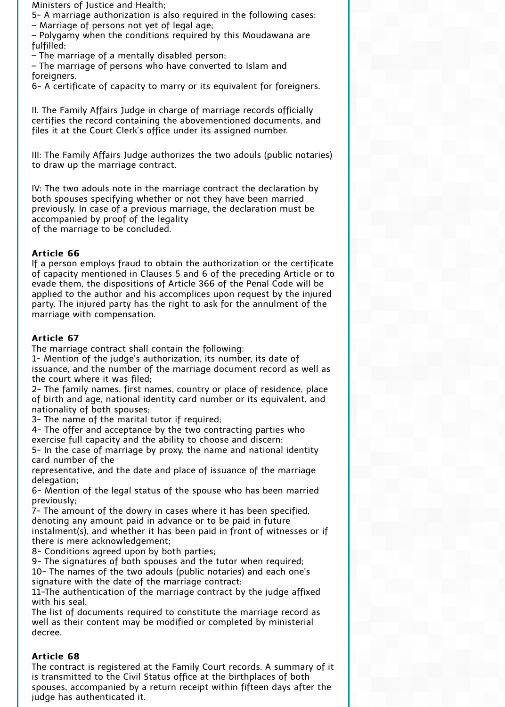Ministers of Justice and Health;

5- A marriage authorization is also required in the following cases: – Marriage of persons not yet of legal age;

– Polygamy when the conditions required by this Moudawana are fulfilled;

– The marriage of a mentally disabled person;

– The marriage of persons who have converted to Islam and foreigners.

6- A certificate of capacity to marry or its equivalent for foreigners.

II. The Family Affairs Judge in charge of marriage records officially certifies the record containing the abovementioned documents, and files it at the Court Clerk's office under its assigned number.

III: The Family Affairs Judge authorizes the two adouls (public notaries) to draw up the marriage contract.

IV: The two adouls note in the marriage contract the declaration by both spouses specifying whether or not they have been married previously. In case of a previous marriage, the declaration must be accompanied by proof of the legality of the marriage to be concluded.

### Article 66

If a person employs fraud to obtain the authorization or the certificate of capacity mentioned in Clauses 5 and 6 of the preceding Article or to evade them, the dispositions of Article 366 of the Penal Code will be applied to the author and his accomplices upon request by the injured party. The injured party has the right to ask for the annulment of the marriage with compensation.

# Article 67

The marriage contract shall contain the following:

1- Mention of the judge's authorization, its number, its date of issuance, and the number of the marriage document record as well as the court where it was filed;

2- The family names, first names, country or place of residence, place of birth and age, national identity card number or its equivalent, and nationality of both spouses;

3- The name of the marital tutor if required;

4- The offer and acceptance by the two contracting parties who exercise full capacity and the ability to choose and discern;

5- In the case of marriage by proxy, the name and national identity card number of the

representative, and the date and place of issuance of the marriage delegation;

6- Mention of the legal status of the spouse who has been married previously;

7- The amount of the dowry in cases where it has been specified, denoting any amount paid in advance or to be paid in future instalment(s), and whether it has been paid in front of witnesses or if there is mere acknowledgement;

8- Conditions agreed upon by both parties;

9- The signatures of both spouses and the tutor when required; 10- The names of the two adouls (public notaries) and each one's signature with the date of the marriage contract;

11-The authentication of the marriage contract by the judge affixed with his seal.

The list of documents required to constitute the marriage record as well as their content may be modified or completed by ministerial decree.

### Article 68

The contract is registered at the Family Court records. A summary of it is transmitted to the Civil Status office at the birthplaces of both spouses, accompanied by a return receipt within fifteen days after the judge has authenticated it.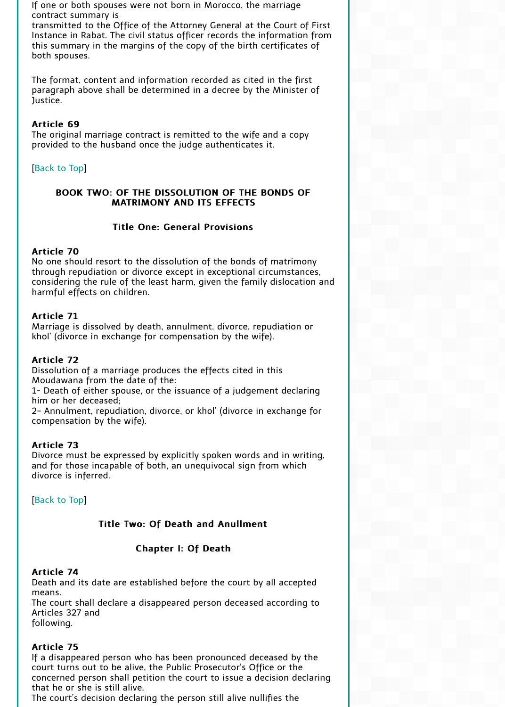

#### BOOK TWO: OF THE DISSOLUTION OF THE BONDS OF **MATRIMONY AND ITS EFFECTS**

### Title One: General Provisions

#### Article 70

No one should resort to the dissolution of the bonds of matrimony through repudiation or divorce except in exceptional circumstances, considering the rule of the least harm, given the family dislocation and harmful effects on children.

### Article 71

Marriage is dissolved by death, annulment, divorce, repudiation or [khol' \(divorce](http://www.hrea.org/programs/gender-equality-and-womens-empowerment/moudawana/#top) in exchange for compensation by the wife).

#### <span id="page-17-0"></span>Article 72

Dissolution of a marriage produces the effects cited in this Moudawana from the date of the:

<span id="page-17-1"></span>1- Death of either spouse, or the issuance of a judgement declaring him or her deceased;

2- Annulment, repudiation, divorce, or khol' (divorce in exchange for compensation by the wife).

#### Article 73

Divorce must be expressed by explicitly spoken words and in writing, and for those incapable of both, an unequivocal sign from which divorce is inferred.

#### [Back to Top]

### Title Two: Of Death and Anullment

### Chapter I: Of Death

#### Article 74

Death and its date are established before the court by all accepted means.

The court shall declare a disappeared person deceased according to Articles 327 and

following.

#### Article 75

If a disappeared person who has been pronounced deceased by the [court turns o](http://www.hrea.org/programs/gender-equality-and-womens-empowerment/moudawana/#top)ut to be alive, the Public Prosecutor's Office or the concerned person shall petition the court to issue a decision declaring that he or she is still alive.

<span id="page-17-2"></span>The court's decision declaring the person still alive nullifies the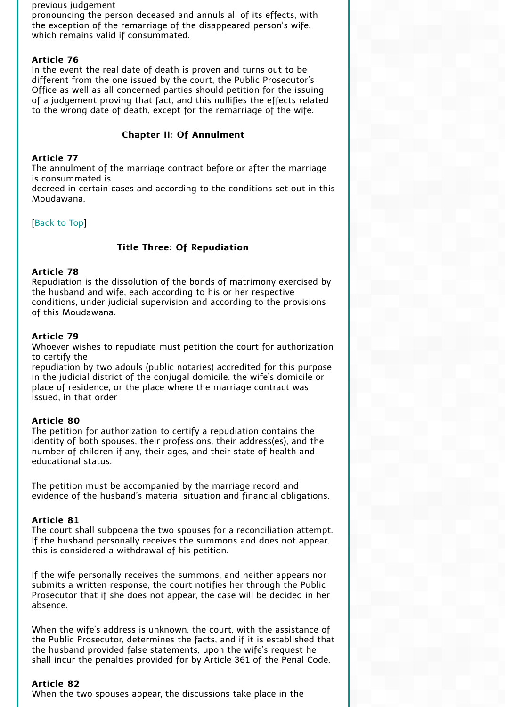The annulment of the marriage contract before or after the marriage is consummated is

decreed in certain cases and according to the conditions set out in this Moudawana.

[Back to Top]

# Title Three: Of Repudiation

### Article 78

Repudiation is the dissolution of the bonds of matrimony exercised by the husband and wife, each according to his or her respective conditions, under judicial supervision and according to the provisions of this Moudawana.

# Article 79

Whoever wishes to repudiate must petition the court for authorization to certify the

repudiation by two adouls (public notaries) accredited for this purpose in the judicial district of the conjugal domicile, the wife's domicile or place of residence, or the place where the marriage contract was i[ssued, in tha](http://www.hrea.org/programs/gender-equality-and-womens-empowerment/moudawana/#top)t order

### <span id="page-18-0"></span>Article 80

The petition for authorization to certify a repudiation contains the identity of both spouses, their professions, their address(es), and the number of children if any, their ages, and their state of health and educational status.

The petition must be accompanied by the marriage record and evidence of the husband's material situation and financial obligations.

### Article 81

The court shall subpoena the two spouses for a reconciliation attempt. If the husband personally receives the summons and does not appear, this is considered a withdrawal of his petition.

If the wife personally receives the summons, and neither appears nor submits a written response, the court notifies her through the Public Prosecutor that if she does not appear, the case will be decided in her absence.

When the wife's address is unknown, the court, with the assistance of the Public Prosecutor, determines the facts, and if it is established that the husband provided false statements, upon the wife's request he shall incur the penalties provided for by Article 361 of the Penal Code.

### Article 82

When the two spouses appear, the discussions take place in the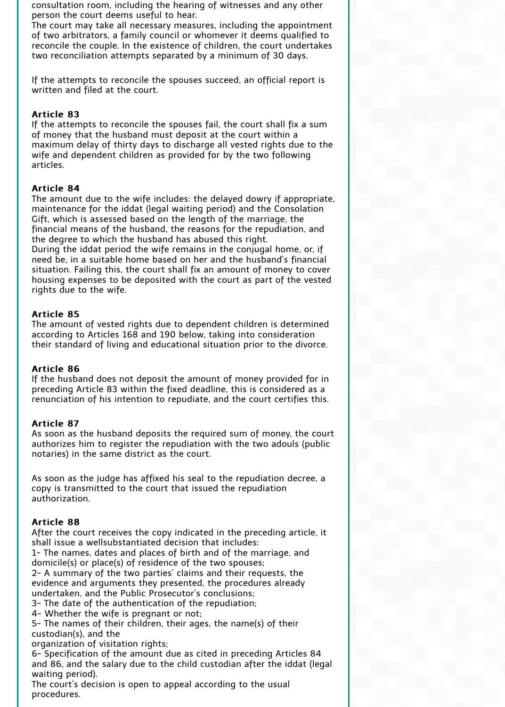consultation room, including the hearing of witnesses and any other person the court deems useful to hear.

The court may take all necessary measures, including the appointment of two arbitrators, a family council or whomever it deems qualified to reconcile the couple. In the existence of children, the court undertakes two reconciliation attempts separated by a minimum of 30 days.

If the attempts to reconcile the spouses succeed, an official report is written and filed at the court.

# Article 83

If the attempts to reconcile the spouses fail, the court shall fix a sum of money that the husband must deposit at the court within a maximum delay of thirty days to discharge all vested rights due to the wife and dependent children as provided for by the two following articles.

# Article 84

The amount due to the wife includes: the delayed dowry if appropriate, maintenance for the iddat (legal waiting period) and the Consolation Gift, which is assessed based on the length of the marriage, the financial means of the husband, the reasons for the repudiation, and the degree to which the husband has abused this right.

During the iddat period the wife remains in the conjugal home, or, if need be, in a suitable home based on her and the husband's financial situation. Failing this, the court shall fix an amount of money to cover housing expenses to be deposited with the court as part of the vested rights due to the wife.

# Article 85

The amount of vested rights due to dependent children is determined according to Articles 168 and 190 below, taking into consideration their standard of living and educational situation prior to the divorce.

### Article 86

If the husband does not deposit the amount of money provided for in preceding Article 83 within the fixed deadline, this is considered as a renunciation of his intention to repudiate, and the court certifies this.

### Article 87

As soon as the husband deposits the required sum of money, the court authorizes him to register the repudiation with the two adouls (public notaries) in the same district as the court.

As soon as the judge has affixed his seal to the repudiation decree, a copy is transmitted to the court that issued the repudiation authorization.

# Article 88

After the court receives the copy indicated in the preceding article, it shall issue a wellsubstantiated decision that includes:

1- The names, dates and places of birth and of the marriage, and domicile(s) or place(s) of residence of the two spouses;

2- A summary of the two parties' claims and their requests, the evidence and arguments they presented, the procedures already undertaken, and the Public Prosecutor's conclusions;

3- The date of the authentication of the repudiation;

- 4- Whether the wife is pregnant or not;
- 5- The names of their children, their ages, the name(s) of their custodian(s), and the

organization of visitation rights;

6- Specification of the amount due as cited in preceding Articles 84 and 86, and the salary due to the child custodian after the iddat (legal waiting period).

The court's decision is open to appeal according to the usual procedures.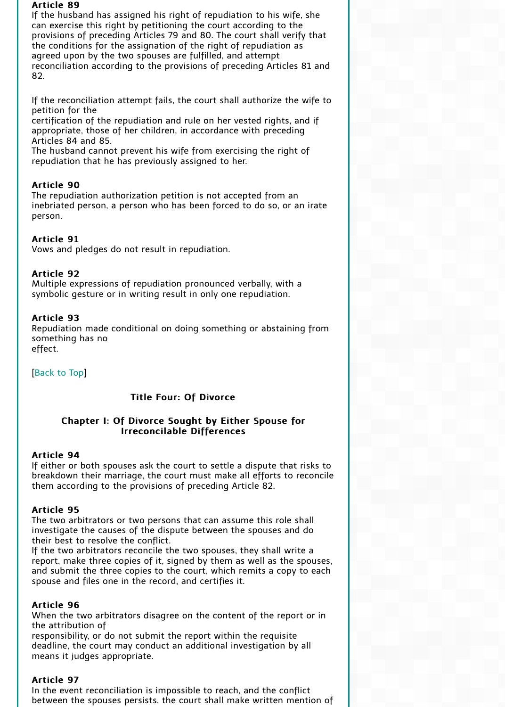The repudiation authorization petition is not accepted from an inebriated person, a person who has been forced to do so, or an irate person.

#### Article 91

Vows and pledges do not result in repudiation.

### Article 92

Multiple expressions of repudiation pronounced verbally, with a symbolic gesture or in writing result in only one repudiation.

#### Article 93

Repudiation made conditional on doing something or abstaining from something has no effect.

[Back to Top]

# Title Four: Of Divorce

#### Chapter I: Of Divorce Sought by Either Spouse for Chapter I: Of Divorce Sought by Either Spouse for **Irreconcilable Differences**

#### Article 94

If either or both spouses ask the court to settle a dispute that risks to breakdown their marriage, the court must make all efforts to reconcile them according to the provisions of preceding Article 82.

### Article 95

The two arbitrators or two persons that can assume this role shall investigate the causes of the dispute between the spouses and do [their best to](http://www.hrea.org/programs/gender-equality-and-womens-empowerment/moudawana/#top) resolve the conflict.

If the two arbitrators reconcile the two spouses, they shall write a report, make three copies of it, signed by them as well as the spouses, and submit the three copies to the court, which remits a copy to each spouse and files one in the record, and certifies it.

#### Article 96

When the two arbitrators disagree on the content of the report or in the attribution of

responsibility, or do not submit the report within the requisite deadline, the court may conduct an additional investigation by all means it judges appropriate.

#### Article 97

In the event reconciliation is impossible to reach, and the conflict between the spouses persists, the court shall make written mention of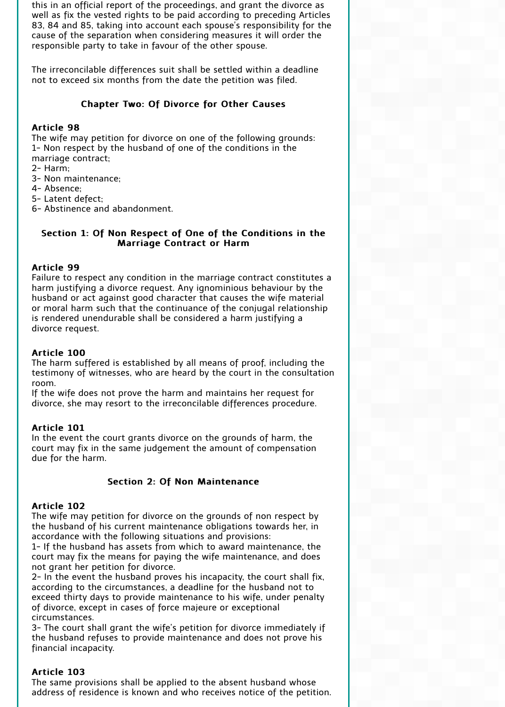this in an official report of the proceedings, and grant the divorce as well as fix the vested rights to be paid according to preceding Articles 83, 84 and 85, taking into account each spouse's responsibility for the cause of the separation when considering measures it will order the responsible party to take in favour of the other spouse.

The irreconcilable differences suit shall be settled within a deadline not to exceed six months from the date the petition was filed.

### Chapter Two: Of Divorce for Other Causes

#### Article 98 Article 98

The wife may petition for divorce on one of the following grounds: 1- Non respect by the husband of one of the conditions in the marriage contract;

- 2- Harm;
- 3- Non maintenance;
- 4- Absence;
- 5- Latent defect;
- 6- Abstinence and abandonment.

#### Section 1: Of Non Respect of One of the Conditions in the **Marriage Contract or Harm**

#### Article 99

Failure to respect any condition in the marriage contract constitutes a harm justifying a divorce request. Any ignominious behaviour by the husband or act against good character that causes the wife material or moral harm such that the continuance of the conjugal relationship is rendered unendurable shall be considered a harm justifying a divorce request.

### Article 100 Article 100

The harm suffered is established by all means of proof, including the testimony of witnesses, who are heard by the court in the consultation room.

If the wife does not prove the harm and maintains her request for divorce, she may resort to the irreconcilable differences procedure.

### Article 101

In the event the court grants divorce on the grounds of harm, the court may fix in the same judgement the amount of compensation due for the harm.

### Section 2: Of Non Maintenance

#### Article 102

The wife may petition for divorce on the grounds of non respect by the husband of his current maintenance obligations towards her, in accordance with the following situations and provisions:

1- If the husband has assets from which to award maintenance, the court may fix the means for paying the wife maintenance, and does not grant her petition for divorce.

2- In the event the husband proves his incapacity, the court shall fix, according to the circumstances, a deadline for the husband not to exceed thirty days to provide maintenance to his wife, under penalty of divorce, except in cases of force majeure or exceptional circumstances.

3- The court shall grant the wife's petition for divorce immediately if the husband refuses to provide maintenance and does not prove his financial incapacity.

#### Article 103 Article 103

The same provisions shall be applied to the absent husband whose address of residence is known and who receives notice of the petition.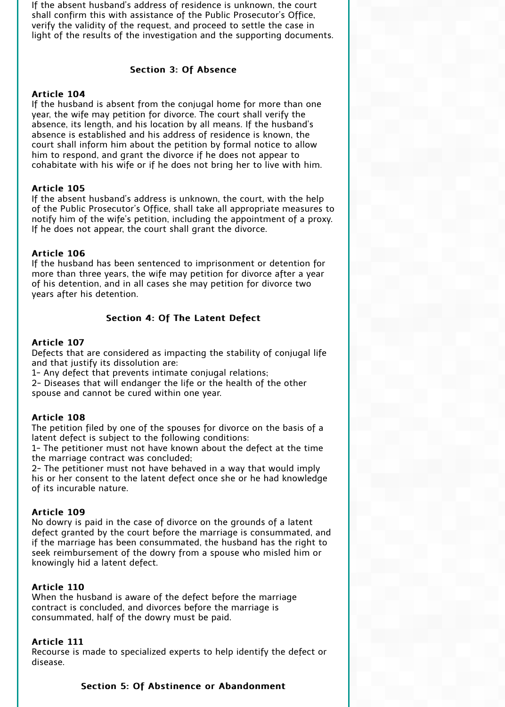If the absent husband's address of residence is unknown, the court shall confirm this with assistance of the Public Prosecutor's Office, verify the validity of the request, and proceed to settle the case in light of the results of the investigation and the supporting documents.

#### Section 3: Of Absence

#### Article 104

If the husband is absent from the conjugal home for more than one year, the wife may petition for divorce. The court shall verify the absence, its length, and his location by all means. If the husband's absence is established and his address of residence is known, the court shall inform him about the petition by formal notice to allow him to respond, and grant the divorce if he does not appear to cohabitate with his wife or if he does not bring her to live with him.

#### Article 105 Article 105

If the absent husband's address is unknown, the court, with the help of the Public Prosecutor's Office, shall take all appropriate measures to notify him of the wife's petition, including the appointment of a proxy. If he does not appear, the court shall grant the divorce.

#### Article 106

If the husband has been sentenced to imprisonment or detention for more than three years, the wife may petition for divorce after a year of his detention, and in all cases she may petition for divorce two years after his detention.

#### Section 4: Of The Latent Defect

#### Article 107

Defects that are considered as impacting the stability of conjugal life and that justify its dissolution are:

1- Any defect that prevents intimate conjugal relations;

2- Diseases that will endanger the life or the health of the other spouse and cannot be cured within one year.

#### Article 108

The petition filed by one of the spouses for divorce on the basis of a latent defect is subject to the following conditions:

1- The petitioner must not have known about the defect at the time the marriage contract was concluded;

2- The petitioner must not have behaved in a way that would imply his or her consent to the latent defect once she or he had knowledge of its incurable nature.

#### Article 109

No dowry is paid in the case of divorce on the grounds of a latent defect granted by the court before the marriage is consummated, and if the marriage has been consummated, the husband has the right to seek reimbursement of the dowry from a spouse who misled him or knowingly hid a latent defect.

#### Article 110

When the husband is aware of the defect before the marriage contract is concluded, and divorces before the marriage is consummated, half of the dowry must be paid.

#### Article 111

Recourse is made to specialized experts to help identify the defect or disease.

#### Section 5: Of Abstinence or Abandonment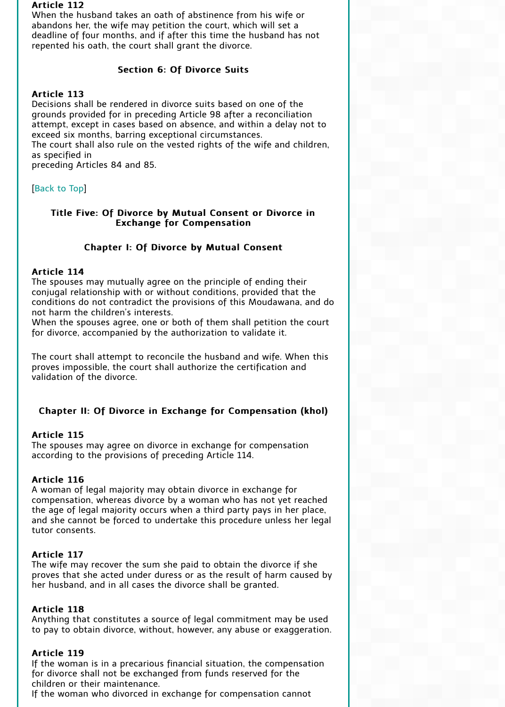#### Title Five: Of Divorce by Mutual Consent or Divorce in **Exchange for Compensation**

# Chapter I: Of Divorce by Mutual Consent

### Article 114

The spouses may mutually agree on the principle of ending their conjugal relationship with or without conditions, provided that the conditions do not contradict the provisions of this Moudawana, and do not harm the children's interests.

When the spouses agree, one or both of them shall petition the court for divorce, accompanied by the authorization to validate it.

[The court sh](http://www.hrea.org/programs/gender-equality-and-womens-empowerment/moudawana/#top)all attempt to reconcile the husband and wife. When this proves impossible, the court shall authorize the certification and validation of the divorce.

### Chapter II: Of Divorce in Exchange for Compensation (khol)

#### Article 115

The spouses may agree on divorce in exchange for compensation according to the provisions of preceding Article 114.

### Article 116

A woman of legal majority may obtain divorce in exchange for compensation, whereas divorce by a woman who has not yet reached the age of legal majority occurs when a third party pays in her place, and she cannot be forced to undertake this procedure unless her legal tutor consents.

#### Article 117

The wife may recover the sum she paid to obtain the divorce if she proves that she acted under duress or as the result of harm caused by her husband, and in all cases the divorce shall be granted.

#### Article 118

Anything that constitutes a source of legal commitment may be used to pay to obtain divorce, without, however, any abuse or exaggeration.

#### Article 119

If the woman is in a precarious financial situation, the compensation for divorce shall not be exchanged from funds reserved for the children or their maintenance.

If the woman who divorced in exchange for compensation cannot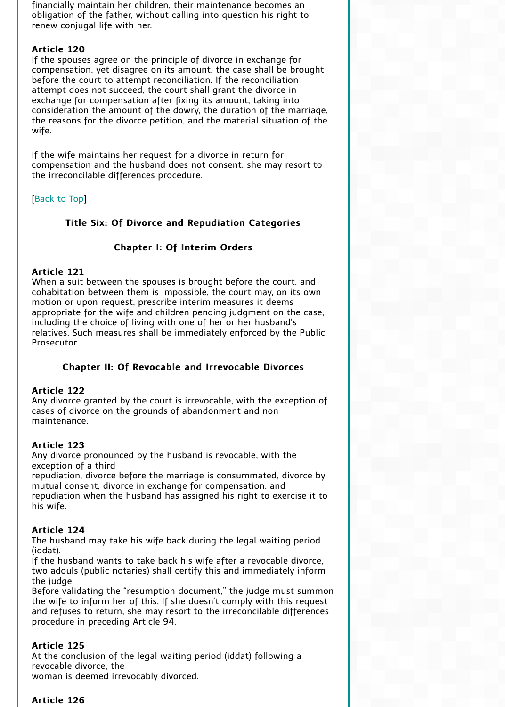the irreconcilable differences procedure.

### [Back to Top]

# Title Six: Of Divorce and Repudiation Categories

# Chapter I: Of Interim Orders

# Article 121

When a suit between the spouses is brought before the court, and cohabitation between them is impossible, the court may, on its own motion or upon request, prescribe interim measures it deems appropriate for the wife and children pending judgment on the case, including the choice of living with one of her or her husband's relatives. Such measures shall be immediately enforced by the Public Prosecutor.

# [Chap](http://www.hrea.org/programs/gender-equality-and-womens-empowerment/moudawana/#top)ter II: Of Revocable and Irrevocable Divorces Chapter II: Of Revocable and Irrevocable Divorces

### Article 122

Any divorce granted by the court is irrevocable, with the exception of cases of divorce on the grounds of abandonment and non maintenance.

### Article 123

Any divorce pronounced by the husband is revocable, with the exception of a third

repudiation, divorce before the marriage is consummated, divorce by mutual consent, divorce in exchange for compensation, and repudiation when the husband has assigned his right to exercise it to his wife.

# Article 124

The husband may take his wife back during the legal waiting period (iddat).

If the husband wants to take back his wife after a revocable divorce, two adouls (public notaries) shall certify this and immediately inform the judge.

Before validating the "resumption document," the judge must summon the wife to inform her of this. If she doesn't comply with this request and refuses to return, she may resort to the irreconcilable differences procedure in preceding Article 94.

# Article 125

At the conclusion of the legal waiting period (iddat) following a revocable divorce, the woman is deemed irrevocably divorced.

# Article 126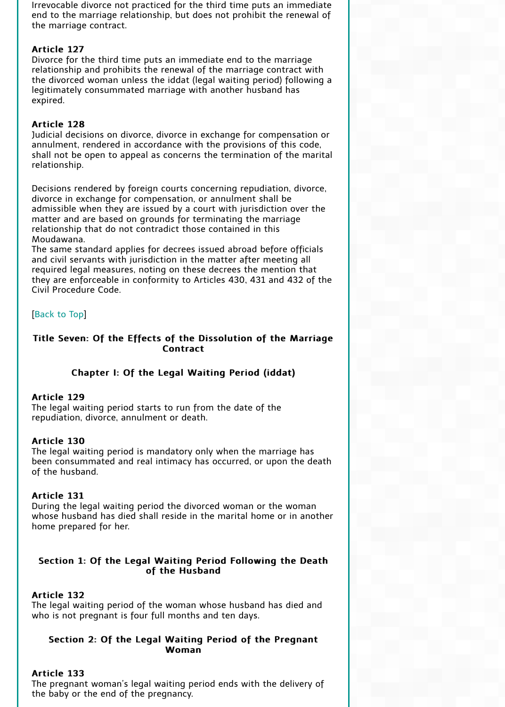Decisions rendered by foreign courts concerning repudiation, divorce, divorce in exchange for compensation, or annulment shall be admissible when they are issued by a court with jurisdiction over the matter and are based on grounds for terminating the marriage relationship that do not contradict those contained in this Moudawana.

The same standard applies for decrees issued abroad before officials and civil servants with jurisdiction in the matter after meeting all required legal measures, noting on these decrees the mention that they are enforceable in conformity to Articles 430, 431 and 432 of the Civil Procedure Code.

### [Back to Top]

#### Title Seven: Of the Effects of the Dissolution of the Marriage **Contract**

### Chapter I: Of the Legal Waiting Period (iddat)

#### Article 129

The legal waiting period starts to run from the date of the repudiation, divorce, annulment or death.

#### Article 130

The legal waiting period is mandatory only when the marriage has been consummated and real intimacy has occurred, or upon the death of the husband.

#### Article 131

During the legal waiting period the divorced woman or the woman whose husband has died shall reside in the marital home or in another home prepared for her.

#### Section 1: Of the Legal Waiting Period Following the Death of the Husband

#### Article 132

The legal waiting period of the woman whose husband has died and who is not pregnant is four full months and ten days.

### Section 2: Of the Legal Waiting Period of the Pregnant **Woman**

#### Article 133

The pregnant woman's legal waiting period ends with the delivery of the baby or the end of the pregnancy.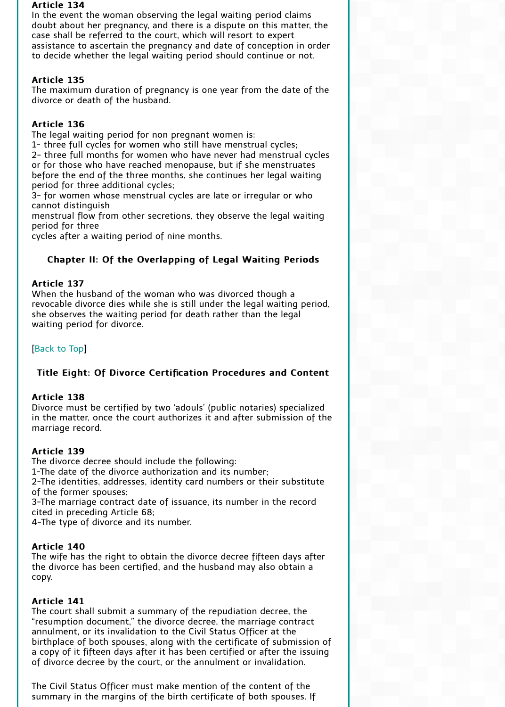before the end of the three months, she continues her legal waiting period for three additional cycles;

3- for women whose menstrual cycles are late or irregular or who cannot distinguish

menstrual flow from other secretions, they observe the legal waiting period for three

cycles after a waiting period of nine months.

# Chapter II: Of the Overlapping of Legal Waiting Periods

# Article 137

When the husband of the woman who was divorced though a revocable divorce dies while she is still under the legal waiting period, she observes the waiting period for death rather than the legal waiting period for divorce.

# [Back to Top]

# Title Eight: Of Divorce Certification Procedures and Content

# Article 138

Divorce must be certified by two 'adouls' (public notaries) specialized in the matter, once the court authorizes it and after submission of the marriage record.

# Article 139

The divorce decree should include the following:

1-The date of the divorce authorization and its number;

2-The identities, addresses, identity card numbers or their substitute of the former spouses;

3-The marriage contract date of issuance, its number in the record cited in preceding Article 68;

[4-The type o](http://www.hrea.org/programs/gender-equality-and-womens-empowerment/moudawana/#top)f divorce and its number.

# Article 140

The wife has the right to obtain the divorce decree fifteen days after the divorce has been certified, and the husband may also obtain a copy.

# Article 141

The court shall submit a summary of the repudiation decree, the "resumption document," the divorce decree, the marriage contract annulment, or its invalidation to the Civil Status Officer at the birthplace of both spouses, along with the certificate of submission of a copy of it fifteen days after it has been certified or after the issuing of divorce decree by the court, or the annulment or invalidation.

The Civil Status Officer must make mention of the content of the summary in the margins of the birth certificate of both spouses. If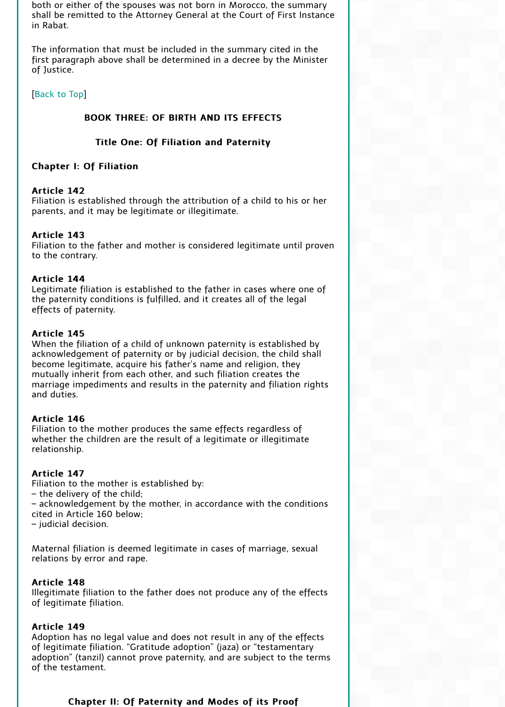Filiation is established through the attribution of a child to his or her parents, and it may be legitimate or illegitimate.

### Article 143

Filiation to the father and mother is considered legitimate until proven to the contrary.

### Article 144

Legitimate filiation is established to the father in cases where one of the paternity conditions is fulfilled, and it creates all of the legal effects of paternity.

# Article 145

When the filiation of a child of unknown paternity is established by acknowledgement of paternity or by judicial decision, the child shall become legitimate, acquire his father's name and religion, they mutually inherit from each other, and such filiation creates the marriage impediments and results in the paternity and filiation rights and duties.

### Article 146

Filiation to the mother produces the same effects regardless of whether the children are the result of a legitimate or illegitimate relationship.

# Article 147

Filiation to the mother is established by:

– the delivery of the child;

– acknowledgement by the mother, in accordance with the conditions cited in Article 160 below;

– judicial decision.

Maternal filiation is deemed legitimate in cases of marriage, sexual relations by error and rape.

### Article 148

Illegitimate filiation to the father does not produce any of the effects of legitimate filiation.

### Article 149

Adoption has no legal value and does not result in any of the effects of legitimate filiation. "Gratitude adoption" (jaza) or "testamentary adoption" (tanzil) cannot prove paternity, and are subject to the terms of the testament.

#### Chapter II: Of Paternity and Modes of its Proof Chapter II: Of Paternity and Modes of its Proof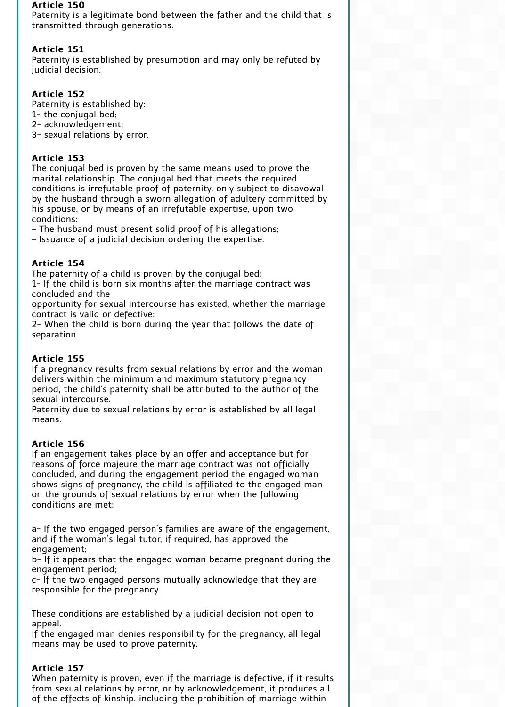Paternity is a legitimate bond between the father and the child that is transmitted through generations.

# Article 151

Paternity is established by presumption and may only be refuted by judicial decision.

# Article 152

Paternity is established by:

- 1- the conjugal bed;
- 2- acknowledgement;
- 3- sexual relations by error.

# Article 153

The conjugal bed is proven by the same means used to prove the marital relationship. The conjugal bed that meets the required conditions is irrefutable proof of paternity, only subject to disavowal by the husband through a sworn allegation of adultery committed by his spouse, or by means of an irrefutable expertise, upon two conditions:

– The husband must present solid proof of his allegations;

– Issuance of a judicial decision ordering the expertise.

# Article 154

The paternity of a child is proven by the conjugal bed:

1- If the child is born six months after the marriage contract was concluded and the

opportunity for sexual intercourse has existed, whether the marriage contract is valid or defective;

2- When the child is born during the year that follows the date of separation.

# Article 155

If a pregnancy results from sexual relations by error and the woman delivers within the minimum and maximum statutory pregnancy period, the child's paternity shall be attributed to the author of the sexual intercourse.

Paternity due to sexual relations by error is established by all legal means.

# Article 156

If an engagement takes place by an offer and acceptance but for reasons of force majeure the marriage contract was not officially concluded, and during the engagement period the engaged woman shows signs of pregnancy, the child is affiliated to the engaged man on the grounds of sexual relations by error when the following conditions are met:

a- If the two engaged person's families are aware of the engagement, and if the woman's legal tutor, if required, has approved the engagement;

b- If it appears that the engaged woman became pregnant during the engagement period;

c- If the two engaged persons mutually acknowledge that they are responsible for the pregnancy.

These conditions are established by a judicial decision not open to appeal.

If the engaged man denies responsibility for the pregnancy, all legal means may be used to prove paternity.

### Article 157

When paternity is proven, even if the marriage is defective, if it results from sexual relations by error, or by acknowledgement, it produces all of the effects of kinship, including the prohibition of marriage within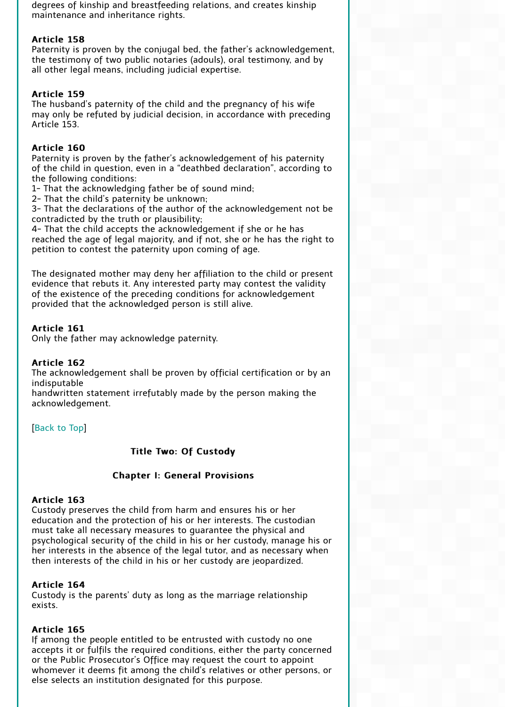of the child in question, even in a "deathbed declaration", according to the following conditions:

1- That the acknowledging father be of sound mind;

2- That the child's paternity be unknown;

3- That the declarations of the author of the acknowledgement not be contradicted by the truth or plausibility;

4- That the child accepts the acknowledgement if she or he has reached the age of legal majority, and if not, she or he has the right to petition to contest the paternity upon coming of age.

The designated mother may deny her affiliation to the child or present evidence that rebuts it. Any interested party may contest the validity of the existence of the preceding conditions for acknowledgement provided that the acknowledged person is still alive.

#### Article 161

Only the father may acknowledge paternity.

#### Article 162

The acknowledgement shall be proven by official certification or by an indisputable

handwritten statement irrefutably made by the person making the acknowledgement.

### [Back to Top]

### Title Two: Of Custody

### Chapter I: General Provisions Chapter I: General Provisions

#### Article 163

Custody preserves the child from harm and ensures his or her education and the protection of his or her interests. The custodian must take all necessary measures to guarantee the physical and psychological security of the child in his or her custody, manage his or her interests in the absence of the legal tutor, and as necessary when then interests of the child in his or her custody are jeopardized.

#### Article 164

[Custody is th](http://www.hrea.org/programs/gender-equality-and-womens-empowerment/moudawana/#top)e parents' duty as long as the marriage relationship exists.

### Article 165

If among the people entitled to be entrusted with custody no one accepts it or fulfils the required conditions, either the party concerned or the Public Prosecutor's Office may request the court to appoint whomever it deems fit among the child's relatives or other persons, or else selects an institution designated for this purpose.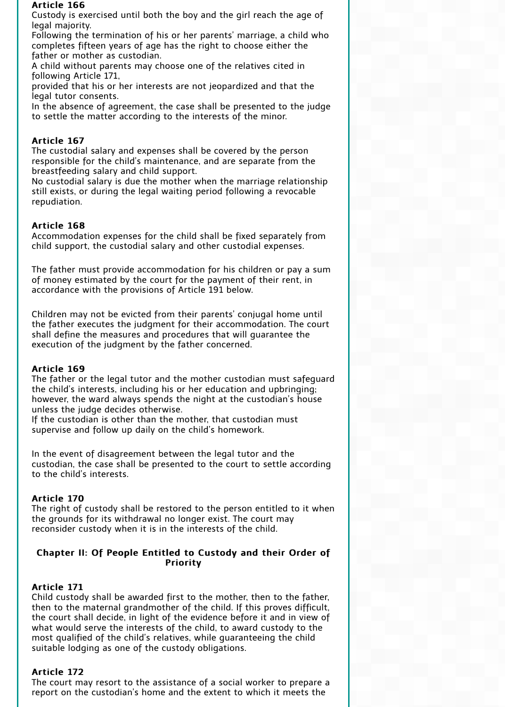Custody is exercised until both the boy and the girl reach the age of legal majority.

Following the termination of his or her parents' marriage, a child who completes fifteen years of age has the right to choose either the father or mother as custodian.

A child without parents may choose one of the relatives cited in following Article 171,

provided that his or her interests are not jeopardized and that the legal tutor consents.

In the absence of agreement, the case shall be presented to the judge to settle the matter according to the interests of the minor.

# Article 167

The custodial salary and expenses shall be covered by the person responsible for the child's maintenance, and are separate from the breastfeeding salary and child support.

No custodial salary is due the mother when the marriage relationship still exists, or during the legal waiting period following a revocable repudiation.

### Article 168

Accommodation expenses for the child shall be fixed separately from child support, the custodial salary and other custodial expenses.

The father must provide accommodation for his children or pay a sum of money estimated by the court for the payment of their rent, in accordance with the provisions of Article 191 below.

Children may not be evicted from their parents' conjugal home until the father executes the judgment for their accommodation. The court shall define the measures and procedures that will guarantee the execution of the judgment by the father concerned.

#### Article 169

The father or the legal tutor and the mother custodian must safeguard the child's interests, including his or her education and upbringing; however, the ward always spends the night at the custodian's house unless the judge decides otherwise.

If the custodian is other than the mother, that custodian must supervise and follow up daily on the child's homework.

In the event of disagreement between the legal tutor and the custodian, the case shall be presented to the court to settle according to the child's interests.

#### Article 170 Article 170

The right of custody shall be restored to the person entitled to it when the grounds for its withdrawal no longer exist. The court may reconsider custody when it is in the interests of the child.

#### Chapter II: Of People Entitled to Custody and their Order of **Priority**

#### Article 171

Child custody shall be awarded first to the mother, then to the father, then to the maternal grandmother of the child. If this proves difficult, the court shall decide, in light of the evidence before it and in view of what would serve the interests of the child, to award custody to the most qualified of the child's relatives, while guaranteeing the child suitable lodging as one of the custody obligations.

#### Article 172

The court may resort to the assistance of a social worker to prepare a report on the custodian's home and the extent to which it meets the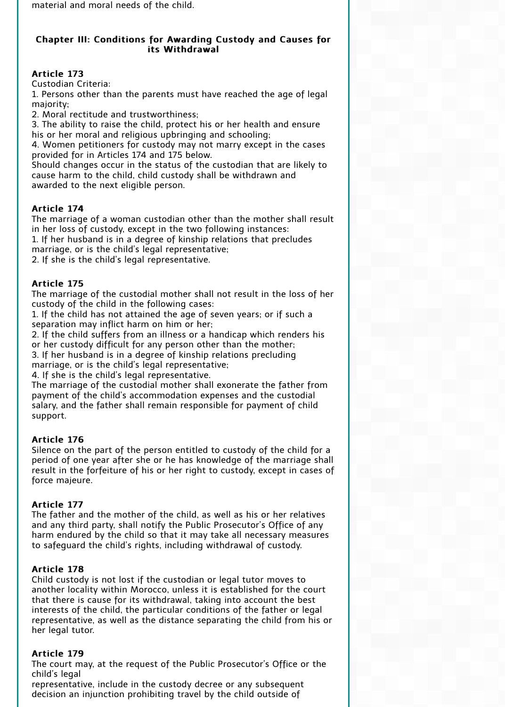material and moral needs of the child.

### Chapter III: Conditions for Awarding Custody and Causes for its Withdrawal

# Article 173

Custodian Criteria:

1. Persons other than the parents must have reached the age of legal majority;

2. Moral rectitude and trustworthiness;

3. The ability to raise the child, protect his or her health and ensure his or her moral and religious upbringing and schooling;

4. Women petitioners for custody may not marry except in the cases provided for in Articles 174 and 175 below.

Should changes occur in the status of the custodian that are likely to cause harm to the child, child custody shall be withdrawn and awarded to the next eligible person.

# Article 174 Article 174

The marriage of a woman custodian other than the mother shall result in her loss of custody, except in the two following instances: 1. If her husband is in a degree of kinship relations that precludes

marriage, or is the child's legal representative;

2. If she is the child's legal representative.

# Article 175 Article 175

The marriage of the custodial mother shall not result in the loss of her custody of the child in the following cases:

1. If the child has not attained the age of seven years; or if such a separation may inflict harm on him or her;

2. If the child suffers from an illness or a handicap which renders his or her custody difficult for any person other than the mother; 3. If her husband is in a degree of kinship relations precluding

marriage, or is the child's legal representative; 4. If she is the child's legal representative.

The marriage of the custodial mother shall exonerate the father from payment of the child's accommodation expenses and the custodial salary, and the father shall remain responsible for payment of child support.

### Article 176

Silence on the part of the person entitled to custody of the child for a period of one year after she or he has knowledge of the marriage shall result in the forfeiture of his or her right to custody, except in cases of force majeure.

### Article 177

The father and the mother of the child, as well as his or her relatives and any third party, shall notify the Public Prosecutor's Office of any harm endured by the child so that it may take all necessary measures to safeguard the child's rights, including withdrawal of custody.

### Article 178 Article 178

Child custody is not lost if the custodian or legal tutor moves to another locality within Morocco, unless it is established for the court that there is cause for its withdrawal, taking into account the best interests of the child, the particular conditions of the father or legal representative, as well as the distance separating the child from his or her legal tutor.

### Article 179

The court may, at the request of the Public Prosecutor's Office or the child's legal

representative, include in the custody decree or any subsequent decision an injunction prohibiting travel by the child outside of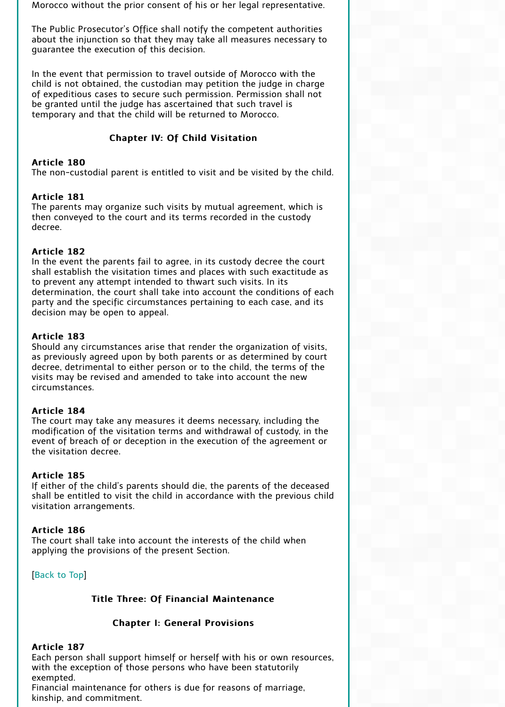The non-custodial parent is entitled to visit and be visited by the child.

### Article 181

The parents may organize such visits by mutual agreement, which is then conveyed to the court and its terms recorded in the custody decree.

### Article 182

In the event the parents fail to agree, in its custody decree the court shall establish the visitation times and places with such exactitude as to prevent any attempt intended to thwart such visits. In its determination, the court shall take into account the conditions of each party and the specific circumstances pertaining to each case, and its decision may be open to appeal.

### Article 183

Should any circumstances arise that render the organization of visits, as previously agreed upon by both parents or as determined by court decree, detrimental to either person or to the child, the terms of the visits may be revised and amended to take into account the new circumstances.

#### Article 184

The court may take any measures it deems necessary, including the modification of the visitation terms and withdrawal of custody, in the event of breach of or deception in the execution of the agreement or the visitation decree.

#### Article 185

If either of the child's parents should die, the parents of the deceased shall be entitled to visit the child in accordance with the previous child visitation arrangements.

#### Article 186

The court shall take into account the interests of the child when applying the provisions of the present Section.

### [Back to Top]

# Title Three: Of Financial Maintenance

### Chapter I: General Provisions Chapter I: General Provisions

### Article 187

Each person shall support himself or herself with his or own resources, with the exception of those persons who have been statutorily exempted.

Financial maintenance for others is due for reasons of marriage, kinship, and commitment.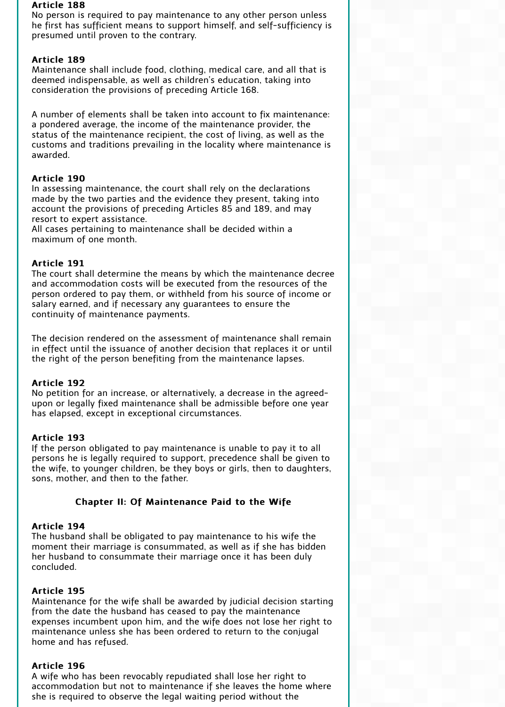No person is required to pay maintenance to any other person unless he first has sufficient means to support himself, and self-sufficiency is presumed until proven to the contrary.

### Article 189

Maintenance shall include food, clothing, medical care, and all that is deemed indispensable, as well as children's education, taking into consideration the provisions of preceding Article 168.

A number of elements shall be taken into account to fix maintenance: a pondered average, the income of the maintenance provider, the status of the maintenance recipient, the cost of living, as well as the customs and traditions prevailing in the locality where maintenance is awarded.

# Article 190 Article 190

In assessing maintenance, the court shall rely on the declarations made by the two parties and the evidence they present, taking into account the provisions of preceding Articles 85 and 189, and may resort to expert assistance.

All cases pertaining to maintenance shall be decided within a maximum of one month.

# Article 191 Article 191

The court shall determine the means by which the maintenance decree and accommodation costs will be executed from the resources of the person ordered to pay them, or withheld from his source of income or salary earned, and if necessary any guarantees to ensure the continuity of maintenance payments.

The decision rendered on the assessment of maintenance shall remain in effect until the issuance of another decision that replaces it or until the right of the person benefiting from the maintenance lapses.

### Article 192

No petition for an increase, or alternatively, a decrease in the agreedupon or legally fixed maintenance shall be admissible before one year has elapsed, except in exceptional circumstances.

### Article 193 Article 193

If the person obligated to pay maintenance is unable to pay it to all persons he is legally required to support, precedence shall be given to the wife, to younger children, be they boys or girls, then to daughters, sons, mother, and then to the father.

### Chapter II: Of Maintenance Paid to the Wife

#### Article 194

The husband shall be obligated to pay maintenance to his wife the moment their marriage is consummated, as well as if she has bidden her husband to consummate their marriage once it has been duly concluded.

### Article 195

Maintenance for the wife shall be awarded by judicial decision starting from the date the husband has ceased to pay the maintenance expenses incumbent upon him, and the wife does not lose her right to maintenance unless she has been ordered to return to the conjugal home and has refused.

#### Article 196

A wife who has been revocably repudiated shall lose her right to accommodation but not to maintenance if she leaves the home where she is required to observe the legal waiting period without the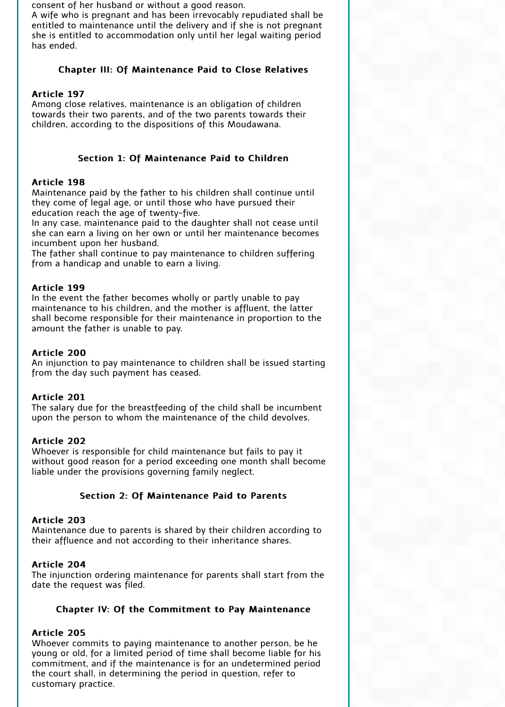consent of her husband or without a good reason.

A wife who is pregnant and has been irrevocably repudiated shall be entitled to maintenance until the delivery and if she is not pregnant she is entitled to accommodation only until her legal waiting period has ended.

# Chapter III: Of Maintenance Paid to Close Relatives

### Article 197 Article 197

Among close relatives, maintenance is an obligation of children towards their two parents, and of the two parents towards their children, according to the dispositions of this Moudawana.

# Section 1: Of Maintenance Paid to Children

### Article 198 Article 198

Maintenance paid by the father to his children shall continue until they come of legal age, or until those who have pursued their education reach the age of twenty-five.

In any case, maintenance paid to the daughter shall not cease until she can earn a living on her own or until her maintenance becomes incumbent upon her husband.

The father shall continue to pay maintenance to children suffering from a handicap and unable to earn a living.

#### Article 199

In the event the father becomes wholly or partly unable to pay maintenance to his children, and the mother is affluent, the latter shall become responsible for their maintenance in proportion to the amount the father is unable to pay.

#### Article 200 Article 200

An injunction to pay maintenance to children shall be issued starting from the day such payment has ceased.

### Article 201 Article 201

The salary due for the breastfeeding of the child shall be incumbent upon the person to whom the maintenance of the child devolves.

### Article 202

Whoever is responsible for child maintenance but fails to pay it without good reason for a period exceeding one month shall become liable under the provisions governing family neglect.

### Section 2: Of Maintenance Paid to Parents

#### Article 203

Maintenance due to parents is shared by their children according to their affluence and not according to their inheritance shares.

#### Article 204

The injunction ordering maintenance for parents shall start from the date the request was filed.

### Chapter IV: Of the Commitment to Pay Maintenance

#### Article 205 Article 205

Whoever commits to paying maintenance to another person, be he young or old, for a limited period of time shall become liable for his commitment, and if the maintenance is for an undetermined period the court shall, in determining the period in question, refer to customary practice.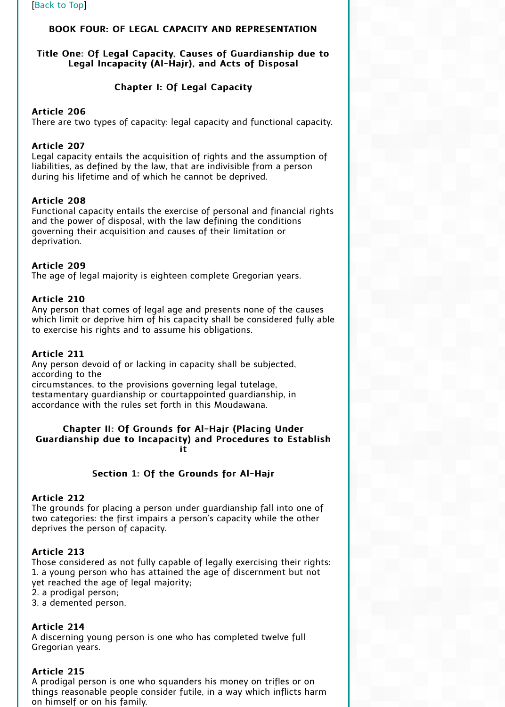[during his lif](http://www.hrea.org/programs/gender-equality-and-womens-empowerment/moudawana/#top)etime and of which he cannot be deprived.

# Article 208

Functional capacity entails the exercise of personal and financial rights and the power of disposal, with the law defining the conditions governing their acquisition and causes of their limitation or deprivation.

# Article 209

The age of legal majority is eighteen complete Gregorian years.

# Article 210

Any person that comes of legal age and presents none of the causes which limit or deprive him of his capacity shall be considered fully able to exercise his rights and to assume his obligations.

# Article 211

Any person devoid of or lacking in capacity shall be subjected, according to the circumstances, to the provisions governing legal tutelage, testamentary guardianship or courtappointed guardianship, in accordance with the rules set forth in this Moudawana.

#### Chapter II: Of Grounds for Al-Hajr (Placing Under Guardianship due to Incapacity) and Procedures to Establish it.

# Section 1: Of the Grounds for Al-Hajr

### Article 212

The grounds for placing a person under guardianship fall into one of two categories: the first impairs a person's capacity while the other deprives the person of capacity.

# Article 213

Those considered as not fully capable of legally exercising their rights: 1. a young person who has attained the age of discernment but not yet reached the age of legal majority;

2. a prodigal person;

3. a demented person.

# Article 214

A discerning young person is one who has completed twelve full Gregorian years.

# Article 215

A prodigal person is one who squanders his money on trifles or on things reasonable people consider futile, in a way which inflicts harm on himself or on his family.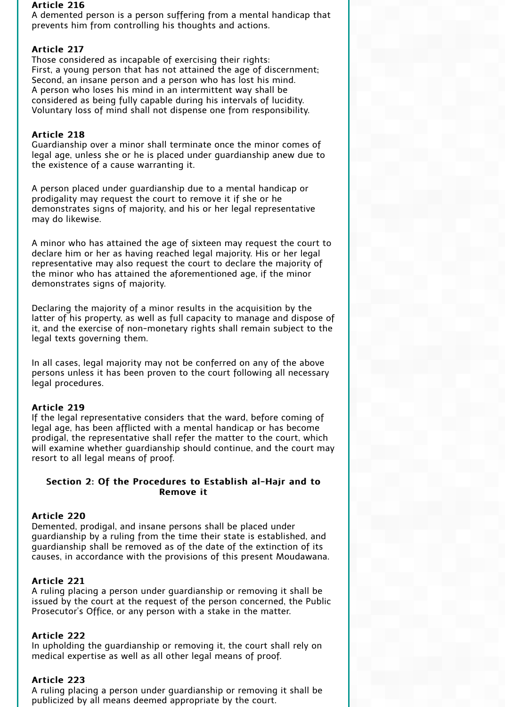A demented person is a person suffering from a mental handicap that prevents him from controlling his thoughts and actions.

# Article 217

Those considered as incapable of exercising their rights: First, a young person that has not attained the age of discernment; Second, an insane person and a person who has lost his mind. A person who loses his mind in an intermittent way shall be considered as being fully capable during his intervals of lucidity. Voluntary loss of mind shall not dispense one from responsibility.

# Article 218

Guardianship over a minor shall terminate once the minor comes of legal age, unless she or he is placed under guardianship anew due to the existence of a cause warranting it.

A person placed under guardianship due to a mental handicap or prodigality may request the court to remove it if she or he demonstrates signs of majority, and his or her legal representative may do likewise.

A minor who has attained the age of sixteen may request the court to declare him or her as having reached legal majority. His or her legal representative may also request the court to declare the majority of the minor who has attained the aforementioned age, if the minor demonstrates signs of majority.

Declaring the majority of a minor results in the acquisition by the latter of his property, as well as full capacity to manage and dispose of it, and the exercise of non-monetary rights shall remain subject to the legal texts governing them.

In all cases, legal majority may not be conferred on any of the above persons unless it has been proven to the court following all necessary legal procedures.

### Article 219 Article 219

If the legal representative considers that the ward, before coming of legal age, has been afflicted with a mental handicap or has become prodigal, the representative shall refer the matter to the court, which will examine whether guardianship should continue, and the court may resort to all legal means of proof.

#### Section 2: Of the Procedures to Establish al-Hajr and to Remove it

### Article 220

Demented, prodigal, and insane persons shall be placed under guardianship by a ruling from the time their state is established, and guardianship shall be removed as of the date of the extinction of its causes, in accordance with the provisions of this present Moudawana.

### Article 221

A ruling placing a person under guardianship or removing it shall be issued by the court at the request of the person concerned, the Public Prosecutor's Office, or any person with a stake in the matter.

### Article 222

In upholding the guardianship or removing it, the court shall rely on medical expertise as well as all other legal means of proof.

### Article 223

A ruling placing a person under guardianship or removing it shall be publicized by all means deemed appropriate by the court.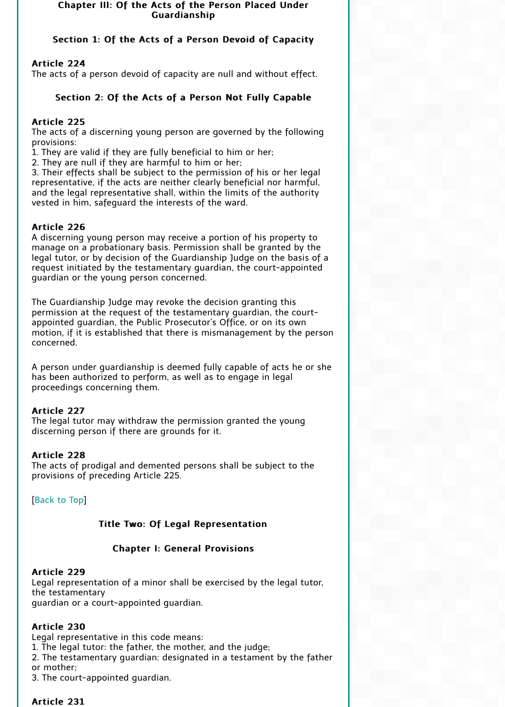3. Their effects shall be subject to the permission of his or her legal representative, if the acts are neither clearly beneficial nor harmful, and the legal representative shall, within the limits of the authority vested in him, safeguard the interests of the ward.

### Article 226

A discerning young person may receive a portion of his property to manage on a probationary basis. Permission shall be granted by the legal tutor, or by decision of the Guardianship Judge on the basis of a request initiated by the testamentary guardian, the court-appointed guardian or the young person concerned.

The Guardianship Judge may revoke the decision granting this permission at the request of the testamentary guardian, the courtappointed guardian, the Public Prosecutor's Office, or on its own motion, if it is established that there is mismanagement by the person concerned.

A person under guardianship is deemed fully capable of acts he or she has been authorized to perform, as well as to engage in legal proceedings concerning them.

### Article 227

The legal tutor may withdraw the permission granted the young discerning person if there are grounds for it.

### Article 228

The acts of prodigal and demented persons shall be subject to the provisions of preceding Article 225.

[Back to Top]

# Title Two: Of Legal Representation

# Chapter I: General Provisions Chapter I: General Provisions

### Article 229

Legal representation of a minor shall be exercised by the legal tutor, the testamentary

guardian or a court-appointed guardian.

# Article 230

Legal representative in this code means:

- 1. The legal tutor: the father, the mother, and the judge;
- 2. The testamentary guardian: designated in a testament by the father [or mother;](http://www.hrea.org/programs/gender-equality-and-womens-empowerment/moudawana/#top)

3. The court-appointed guardian.

### Article 231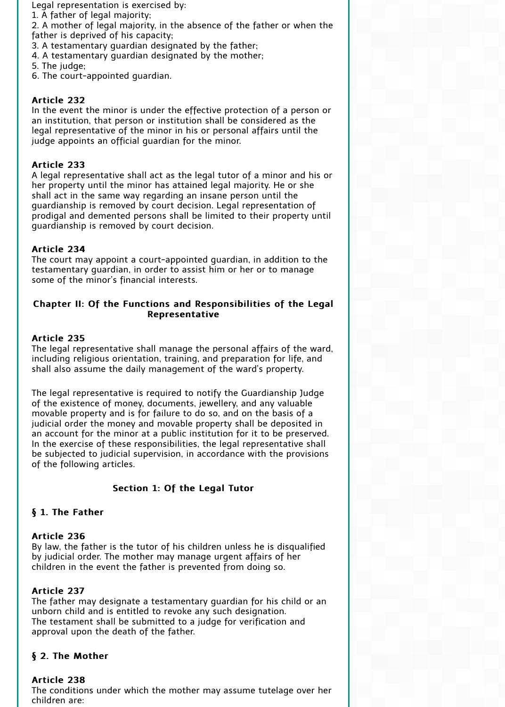Legal representation is exercised by:

- 1. A father of legal majority;
- 2. A mother of legal majority, in the absence of the father or when the father is deprived of his capacity;
- 3. A testamentary guardian designated by the father;
- 4. A testamentary guardian designated by the mother;
- 5. The judge;
- 6. The court-appointed guardian.

#### Article 232

In the event the minor is under the effective protection of a person or an institution, that person or institution shall be considered as the legal representative of the minor in his or personal affairs until the judge appoints an official guardian for the minor.

#### Article 233

A legal representative shall act as the legal tutor of a minor and his or her property until the minor has attained legal majority. He or she shall act in the same way regarding an insane person until the guardianship is removed by court decision. Legal representation of prodigal and demented persons shall be limited to their property until guardianship is removed by court decision.

#### Article 234

The court may appoint a court-appointed guardian, in addition to the testamentary guardian, in order to assist him or her or to manage some of the minor's financial interests.

#### Chapter II: Of the Functions and Responsibilities of the Legal **Representative**

#### Article 235

The legal representative shall manage the personal affairs of the ward, including religious orientation, training, and preparation for life, and shall also assume the daily management of the ward's property.

The legal representative is required to notify the Guardianship Judge of the existence of money, documents, jewellery, and any valuable movable property and is for failure to do so, and on the basis of a judicial order the money and movable property shall be deposited in an account for the minor at a public institution for it to be preserved. In the exercise of these responsibilities, the legal representative shall be subjected to judicial supervision, in accordance with the provisions of the following articles.

#### Section 1: Of the Legal Tutor

#### § 1. The Father

#### Article 236

By law, the father is the tutor of his children unless he is disqualified by judicial order. The mother may manage urgent affairs of her children in the event the father is prevented from doing so.

#### Article 237

The father may designate a testamentary guardian for his child or an unborn child and is entitled to revoke any such designation. The testament shall be submitted to a judge for verification and approval upon the death of the father.

### § 2. The Mother

#### Article 238

The conditions under which the mother may assume tutelage over her children are: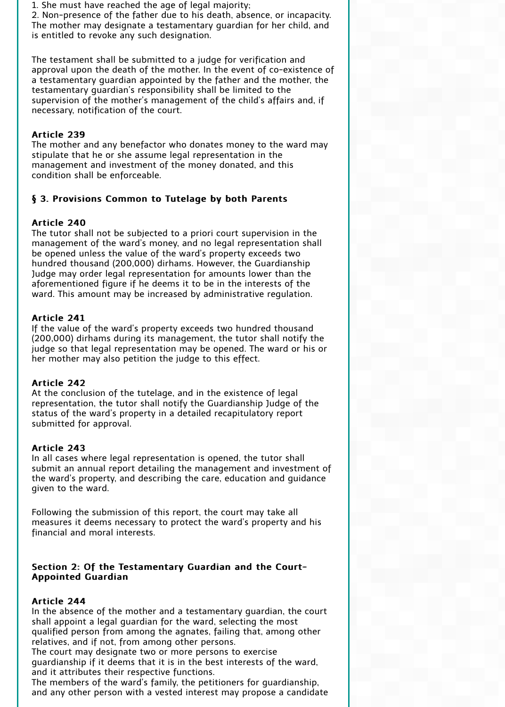1. She must have reached the age of legal majority;

2. Non-presence of the father due to his death, absence, or incapacity. The mother may designate a testamentary guardian for her child, and is entitled to revoke any such designation.

The testament shall be submitted to a judge for verification and approval upon the death of the mother. In the event of co-existence of a testamentary guardian appointed by the father and the mother, the testamentary guardian's responsibility shall be limited to the supervision of the mother's management of the child's affairs and, if necessary, notification of the court.

### Article 239

The mother and any benefactor who donates money to the ward may stipulate that he or she assume legal representation in the management and investment of the money donated, and this condition shall be enforceable.

# § 3. Provisions Common to Tutelage by both Parents § 3. Provisions Common to Tutelage by both Parents

### Article 240

The tutor shall not be subjected to a priori court supervision in the management of the ward's money, and no legal representation shall be opened unless the value of the ward's property exceeds two hundred thousand (200,000) dirhams. However, the Guardianship Judge may order legal representation for amounts lower than the aforementioned figure if he deems it to be in the interests of the ward. This amount may be increased by administrative regulation.

### Article 241

If the value of the ward's property exceeds two hundred thousand (200,000) dirhams during its management, the tutor shall notify the judge so that legal representation may be opened. The ward or his or her mother may also petition the judge to this effect.

#### Article 242

At the conclusion of the tutelage, and in the existence of legal representation, the tutor shall notify the Guardianship Judge of the status of the ward's property in a detailed recapitulatory report submitted for approval.

#### Article 243

In all cases where legal representation is opened, the tutor shall submit an annual report detailing the management and investment of the ward's property, and describing the care, education and guidance given to the ward.

Following the submission of this report, the court may take all measures it deems necessary to protect the ward's property and his financial and moral interests.

#### Section 2: Of the Testamentary Guardian and the Court-Appointed Guardian Appointed Guardian

#### Article 244

In the absence of the mother and a testamentary guardian, the court shall appoint a legal guardian for the ward, selecting the most qualified person from among the agnates, failing that, among other relatives, and if not, from among other persons.

The court may designate two or more persons to exercise guardianship if it deems that it is in the best interests of the ward, and it attributes their respective functions.

The members of the ward's family, the petitioners for guardianship, and any other person with a vested interest may propose a candidate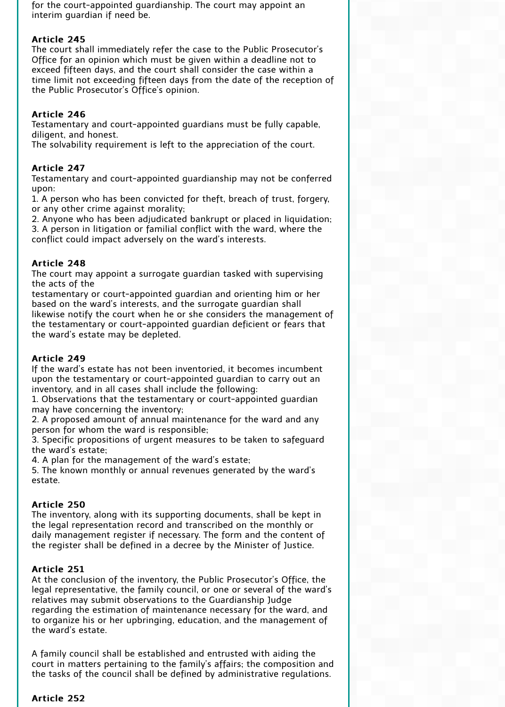for the court-appointed guardianship. The court may appoint an interim guardian if need be.

# Article 245

The court shall immediately refer the case to the Public Prosecutor's Office for an opinion which must be given within a deadline not to exceed fifteen days, and the court shall consider the case within a time limit not exceeding fifteen days from the date of the reception of the Public Prosecutor's Office's opinion.

# Article 246

Testamentary and court-appointed guardians must be fully capable, diligent, and honest.

The solvability requirement is left to the appreciation of the court.

### Article 247

Testamentary and court-appointed guardianship may not be conferred upon:

1. A person who has been convicted for theft, breach of trust, forgery, or any other crime against morality;

2. Anyone who has been adjudicated bankrupt or placed in liquidation; 3. A person in litigation or familial conflict with the ward, where the conflict could impact adversely on the ward's interests.

# Article 248

The court may appoint a surrogate guardian tasked with supervising the acts of the

testamentary or court-appointed guardian and orienting him or her based on the ward's interests, and the surrogate guardian shall likewise notify the court when he or she considers the management of the testamentary or court-appointed guardian deficient or fears that the ward's estate may be depleted.

### Article 249

If the ward's estate has not been inventoried, it becomes incumbent upon the testamentary or court-appointed guardian to carry out an inventory, and in all cases shall include the following:

1. Observations that the testamentary or court-appointed guardian may have concerning the inventory;

2. A proposed amount of annual maintenance for the ward and any person for whom the ward is responsible;

3. Specific propositions of urgent measures to be taken to safeguard the ward's estate;

4. A plan for the management of the ward's estate;

5. The known monthly or annual revenues generated by the ward's estate.

### Article 250 Article 250

The inventory, along with its supporting documents, shall be kept in the legal representation record and transcribed on the monthly or daily management register if necessary. The form and the content of the register shall be defined in a decree by the Minister of Justice.

### Article 251

At the conclusion of the inventory, the Public Prosecutor's Office, the legal representative, the family council, or one or several of the ward's relatives may submit observations to the Guardianship Judge regarding the estimation of maintenance necessary for the ward, and to organize his or her upbringing, education, and the management of the ward's estate.

A family council shall be established and entrusted with aiding the court in matters pertaining to the family's affairs; the composition and the tasks of the council shall be defined by administrative regulations.

### Article 252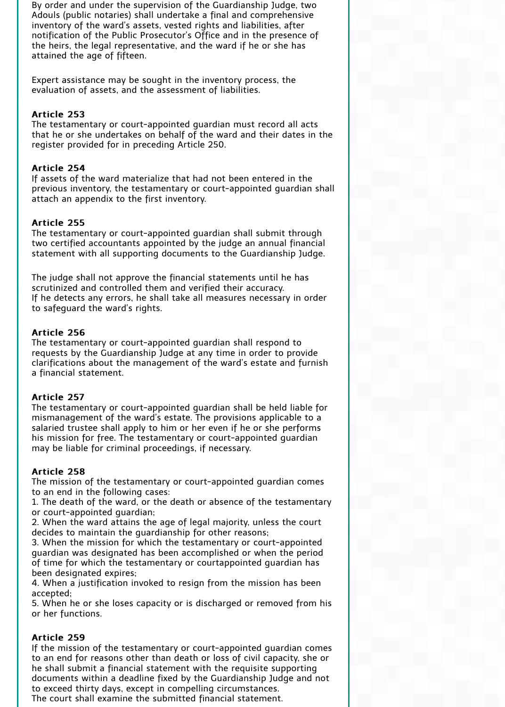By order and under the supervision of the Guardianship Judge, two Adouls (public notaries) shall undertake a final and comprehensive inventory of the ward's assets, vested rights and liabilities, after notification of the Public Prosecutor's Office and in the presence of the heirs, the legal representative, and the ward if he or she has attained the age of fifteen.

Expert assistance may be sought in the inventory process, the evaluation of assets, and the assessment of liabilities.

# Article 253

The testamentary or court-appointed guardian must record all acts that he or she undertakes on behalf of the ward and their dates in the register provided for in preceding Article 250.

### Article 254

If assets of the ward materialize that had not been entered in the previous inventory, the testamentary or court-appointed guardian shall attach an appendix to the first inventory.

### Article 255 Article 255

The testamentary or court-appointed guardian shall submit through two certified accountants appointed by the judge an annual financial statement with all supporting documents to the Guardianship Judge.

The judge shall not approve the financial statements until he has scrutinized and controlled them and verified their accuracy. If he detects any errors, he shall take all measures necessary in order to safeguard the ward's rights.

# Article 256 Article 256

The testamentary or court-appointed guardian shall respond to requests by the Guardianship Judge at any time in order to provide clarifications about the management of the ward's estate and furnish a financial statement.

### Article 257 Article 257

The testamentary or court-appointed guardian shall be held liable for mismanagement of the ward's estate. The provisions applicable to a salaried trustee shall apply to him or her even if he or she performs his mission for free. The testamentary or court-appointed guardian may be liable for criminal proceedings, if necessary.

### Article 258

The mission of the testamentary or court-appointed guardian comes to an end in the following cases:

1. The death of the ward, or the death or absence of the testamentary or court-appointed guardian;

2. When the ward attains the age of legal majority, unless the court decides to maintain the guardianship for other reasons;

3. When the mission for which the testamentary or court-appointed guardian was designated has been accomplished or when the period of time for which the testamentary or courtappointed guardian has been designated expires;

4. When a justification invoked to resign from the mission has been accepted;

5. When he or she loses capacity or is discharged or removed from his or her functions.

### Article 259

If the mission of the testamentary or court-appointed guardian comes to an end for reasons other than death or loss of civil capacity, she or he shall submit a financial statement with the requisite supporting documents within a deadline fixed by the Guardianship Judge and not to exceed thirty days, except in compelling circumstances. The court shall examine the submitted financial statement.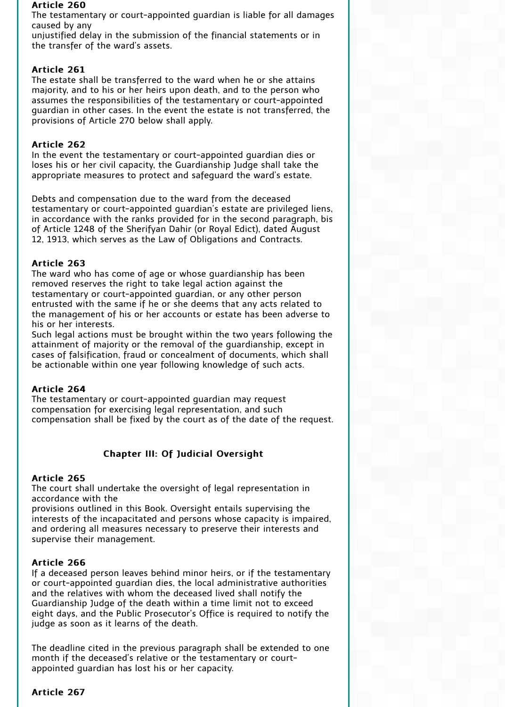The testamentary or court-appointed guardian is liable for all damages caused by any

unjustified delay in the submission of the financial statements or in the transfer of the ward's assets.

# Article 261

The estate shall be transferred to the ward when he or she attains majority, and to his or her heirs upon death, and to the person who assumes the responsibilities of the testamentary or court-appointed guardian in other cases. In the event the estate is not transferred, the provisions of Article 270 below shall apply.

### Article 262

In the event the testamentary or court-appointed guardian dies or loses his or her civil capacity, the Guardianship Judge shall take the appropriate measures to protect and safeguard the ward's estate.

Debts and compensation due to the ward from the deceased testamentary or court-appointed guardian's estate are privileged liens, in accordance with the ranks provided for in the second paragraph, bis of Article 1248 of the Sherifyan Dahir (or Royal Edict), dated August 12, 1913, which serves as the Law of Obligations and Contracts.

# Article 263

The ward who has come of age or whose guardianship has been removed reserves the right to take legal action against the testamentary or court-appointed guardian, or any other person entrusted with the same if he or she deems that any acts related to the management of his or her accounts or estate has been adverse to his or her interests.

Such legal actions must be brought within the two years following the attainment of majority or the removal of the guardianship, except in cases of falsification, fraud or concealment of documents, which shall be actionable within one year following knowledge of such acts.

### Article 264

The testamentary or court-appointed guardian may request compensation for exercising legal representation, and such compensation shall be fixed by the court as of the date of the request.

# Chapter III: Of Judicial Oversight Chapter III: Of Judicial Oversight

### Article 265

The court shall undertake the oversight of legal representation in accordance with the

provisions outlined in this Book. Oversight entails supervising the interests of the incapacitated and persons whose capacity is impaired, and ordering all measures necessary to preserve their interests and supervise their management.

### Article 266

If a deceased person leaves behind minor heirs, or if the testamentary or court-appointed guardian dies, the local administrative authorities and the relatives with whom the deceased lived shall notify the Guardianship Judge of the death within a time limit not to exceed eight days, and the Public Prosecutor's Office is required to notify the judge as soon as it learns of the death.

The deadline cited in the previous paragraph shall be extended to one month if the deceased's relative or the testamentary or courtappointed guardian has lost his or her capacity.

#### Article 267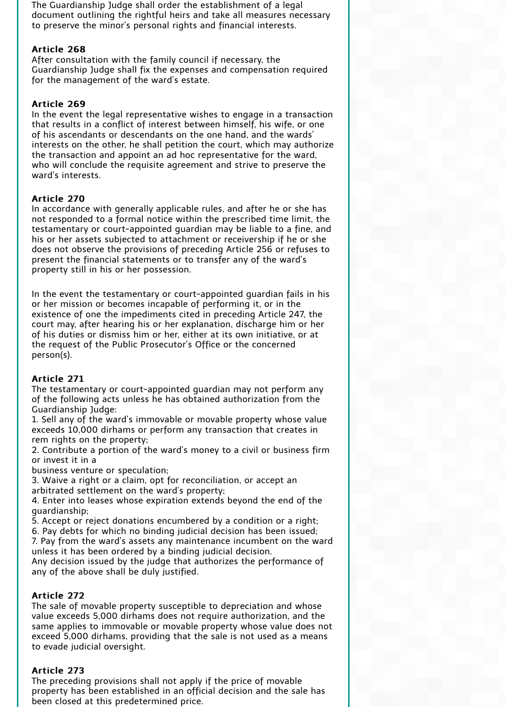The Guardianship Judge shall order the establishment of a legal document outlining the rightful heirs and take all measures necessary to preserve the minor's personal rights and financial interests.

#### Article 268

After consultation with the family council if necessary, the Guardianship Judge shall fix the expenses and compensation required for the management of the ward's estate.

#### Article 269

In the event the legal representative wishes to engage in a transaction that results in a conflict of interest between himself, his wife, or one of his ascendants or descendants on the one hand, and the wards' interests on the other, he shall petition the court, which may authorize the transaction and appoint an ad hoc representative for the ward, who will conclude the requisite agreement and strive to preserve the ward's interests.

#### Article 270 Article 270

In accordance with generally applicable rules, and after he or she has not responded to a formal notice within the prescribed time limit, the testamentary or court-appointed guardian may be liable to a fine, and his or her assets subjected to attachment or receivership if he or she does not observe the provisions of preceding Article 256 or refuses to present the financial statements or to transfer any of the ward's property still in his or her possession.

In the event the testamentary or court-appointed guardian fails in his or her mission or becomes incapable of performing it, or in the existence of one the impediments cited in preceding Article 247, the court may, after hearing his or her explanation, discharge him or her of his duties or dismiss him or her, either at its own initiative, or at the request of the Public Prosecutor's Office or the concerned person(s).

#### Article 271 Article 271

The testamentary or court-appointed guardian may not perform any of the following acts unless he has obtained authorization from the Guardianship Judge:

1. Sell any of the ward's immovable or movable property whose value exceeds 10,000 dirhams or perform any transaction that creates in rem rights on the property;

2. Contribute a portion of the ward's money to a civil or business firm or invest it in a

business venture or speculation;

3. Waive a right or a claim, opt for reconciliation, or accept an arbitrated settlement on the ward's property;

4. Enter into leases whose expiration extends beyond the end of the guardianship;

5. Accept or reject donations encumbered by a condition or a right; 6. Pay debts for which no binding judicial decision has been issued; 7. Pay from the ward's assets any maintenance incumbent on the ward unless it has been ordered by a binding judicial decision.

Any decision issued by the judge that authorizes the performance of any of the above shall be duly justified.

#### Article 272

The sale of movable property susceptible to depreciation and whose value exceeds 5,000 dirhams does not require authorization, and the same applies to immovable or movable property whose value does not exceed 5,000 dirhams, providing that the sale is not used as a means to evade judicial oversight.

#### Article 273

The preceding provisions shall not apply if the price of movable property has been established in an official decision and the sale has been closed at this predetermined price.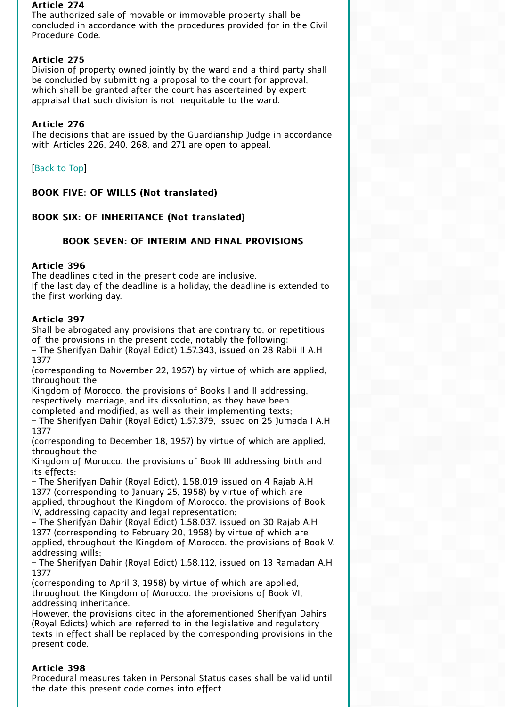

# BOOK FIVE: OF WILLS (Not translated)

# BOOK SIX: OF INHERITANCE (Not translated)

# BOOK SEVEN: OF INTERIM AND FINAL PROVISIONS

# Article 396

The deadlines cited in the present code are inclusive.

If the last day of the deadline is a holiday, the deadline is extended to the first working day.

# Article 397

Shall be abrogated any provisions that are contrary to, or repetitious [of, the provis](http://www.hrea.org/programs/gender-equality-and-womens-empowerment/moudawana/#top)ions in the present code, notably the following:

– The Sherifyan Dahir (Royal Edict) 1.57.343, issued on 28 Rabii II A.H 1377

(corresponding to November 22, 1957) by virtue of which are applied, throughout the

Kingdom of Morocco, the provisions of Books I and II addressing, respectively, marriage, and its dissolution, as they have been

<span id="page-44-0"></span>completed and modified, as well as their implementing texts;

– The Sherifyan Dahir (Royal Edict) 1.57.379, issued on 25 Jumada I A.H 1377

(corresponding to December 18, 1957) by virtue of which are applied, throughout the

Kingdom of Morocco, the provisions of Book III addressing birth and its effects;

– The Sherifyan Dahir (Royal Edict), 1.58.019 issued on 4 Rajab A.H 1377 (corresponding to January 25, 1958) by virtue of which are applied, throughout the Kingdom of Morocco, the provisions of Book IV, addressing capacity and legal representation;

– The Sherifyan Dahir (Royal Edict) 1.58.037, issued on 30 Rajab A.H 1377 (corresponding to February 20, 1958) by virtue of which are applied, throughout the Kingdom of Morocco, the provisions of Book V, addressing wills;

– The Sherifyan Dahir (Royal Edict) 1.58.112, issued on 13 Ramadan A.H 1377

(corresponding to April 3, 1958) by virtue of which are applied, throughout the Kingdom of Morocco, the provisions of Book VI, addressing inheritance.

However, the provisions cited in the aforementioned Sherifyan Dahirs (Royal Edicts) which are referred to in the legislative and regulatory texts in effect shall be replaced by the corresponding provisions in the present code.

# Article 398 Article 398

Procedural measures taken in Personal Status cases shall be valid until the date this present code comes into effect.